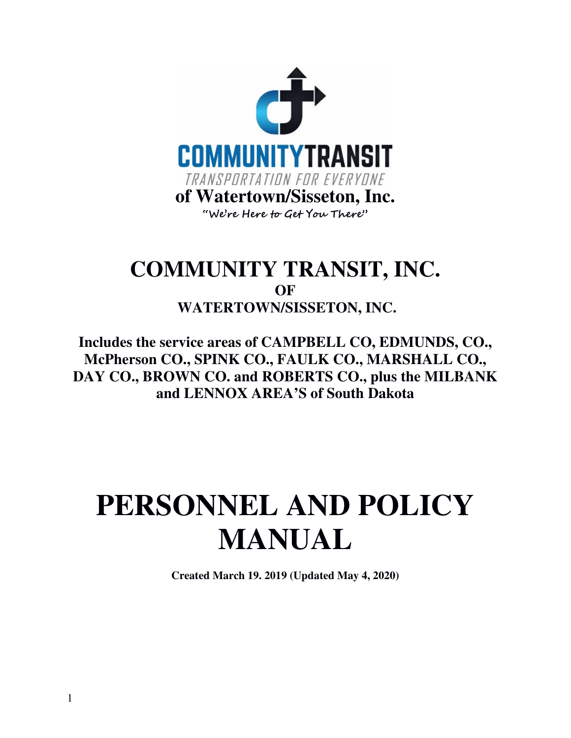

# **COMMUNITY TRANSIT, INC. OF WATERTOWN/SISSETON, INC.**

**Includes the service areas of CAMPBELL CO, EDMUNDS, CO., McPherson CO., SPINK CO., FAULK CO., MARSHALL CO., DAY CO., BROWN CO. and ROBERTS CO., plus the MILBANK and LENNOX AREA'S of South Dakota** 

# **PERSONNEL AND POLICY MANUAL**

**Created March 19. 2019 (Updated May 4, 2020)**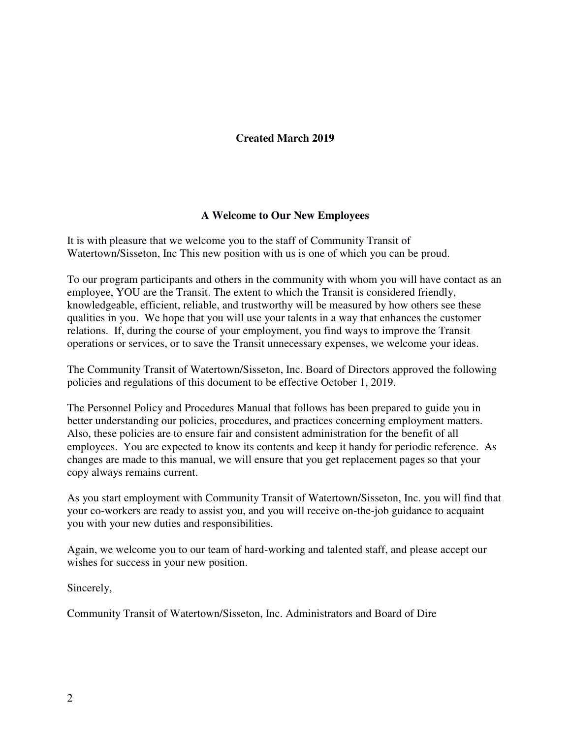# **Created March 2019**

# **A Welcome to Our New Employees**

It is with pleasure that we welcome you to the staff of Community Transit of Watertown/Sisseton, Inc This new position with us is one of which you can be proud.

To our program participants and others in the community with whom you will have contact as an employee, YOU are the Transit. The extent to which the Transit is considered friendly, knowledgeable, efficient, reliable, and trustworthy will be measured by how others see these qualities in you. We hope that you will use your talents in a way that enhances the customer relations. If, during the course of your employment, you find ways to improve the Transit operations or services, or to save the Transit unnecessary expenses, we welcome your ideas.

The Community Transit of Watertown/Sisseton, Inc. Board of Directors approved the following policies and regulations of this document to be effective October 1, 2019.

The Personnel Policy and Procedures Manual that follows has been prepared to guide you in better understanding our policies, procedures, and practices concerning employment matters. Also, these policies are to ensure fair and consistent administration for the benefit of all employees. You are expected to know its contents and keep it handy for periodic reference. As changes are made to this manual, we will ensure that you get replacement pages so that your copy always remains current.

As you start employment with Community Transit of Watertown/Sisseton, Inc. you will find that your co-workers are ready to assist you, and you will receive on-the-job guidance to acquaint you with your new duties and responsibilities.

Again, we welcome you to our team of hard-working and talented staff, and please accept our wishes for success in your new position.

Sincerely,

Community Transit of Watertown/Sisseton, Inc. Administrators and Board of Dire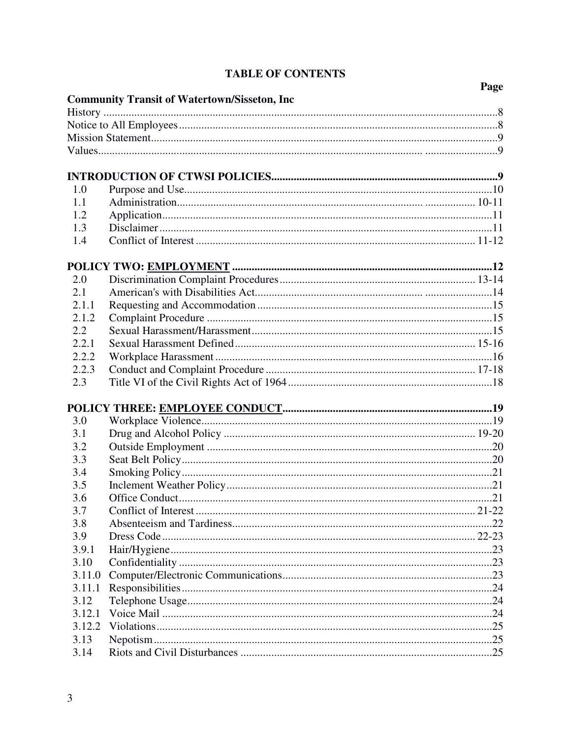|        |                                                      | Page |
|--------|------------------------------------------------------|------|
|        | <b>Community Transit of Watertown/Sisseton, Inc.</b> |      |
|        |                                                      |      |
|        |                                                      |      |
|        |                                                      |      |
|        |                                                      |      |
|        |                                                      |      |
|        |                                                      |      |
| 1.0    |                                                      |      |
| 1.1    |                                                      |      |
| 1.2    |                                                      |      |
| 1.3    |                                                      |      |
| 1.4    |                                                      |      |
|        |                                                      |      |
| 2.0    |                                                      |      |
| 2.1    |                                                      |      |
| 2.1.1  |                                                      |      |
| 2.1.2  |                                                      |      |
| 2.2    |                                                      |      |
| 2.2.1  |                                                      |      |
| 2.2.2  |                                                      |      |
| 2.2.3  |                                                      |      |
| 2.3    |                                                      |      |
|        |                                                      |      |
|        |                                                      |      |
| 3.0    |                                                      |      |
| 3.1    |                                                      |      |
| 3.2    |                                                      |      |
| 3.3    |                                                      |      |
| 3.4    |                                                      |      |
| 3.5    |                                                      |      |
| 3.6    |                                                      |      |
| 3.7    |                                                      |      |
| 3.8    |                                                      |      |
| 3.9    |                                                      |      |
| 3.9.1  |                                                      |      |
| 3.10   |                                                      |      |
| 3.11.0 |                                                      |      |
| 3.11.1 |                                                      |      |
| 3.12   |                                                      |      |
| 3.12.1 |                                                      |      |
| 3.12.2 |                                                      |      |
| 3.13   |                                                      |      |
| 3.14   |                                                      |      |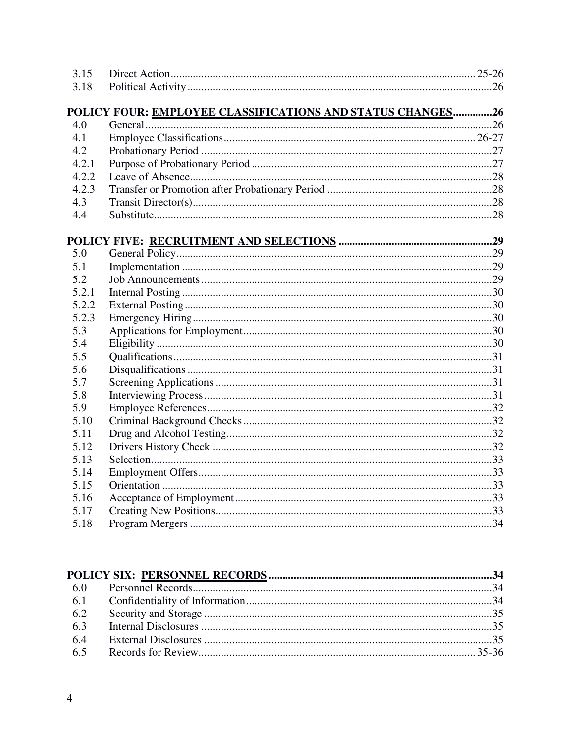| 3.15  |                                                            |  |
|-------|------------------------------------------------------------|--|
| 3.18  |                                                            |  |
|       | POLICY FOUR: EMPLOYEE CLASSIFICATIONS AND STATUS CHANGES26 |  |
| 4.0   |                                                            |  |
| 4.1   |                                                            |  |
| 4.2   |                                                            |  |
| 4.2.1 |                                                            |  |
| 4.2.2 |                                                            |  |
| 4.2.3 |                                                            |  |
| 4.3   |                                                            |  |
| 4.4   |                                                            |  |
|       |                                                            |  |
| 5.0   |                                                            |  |
| 5.1   |                                                            |  |
| 5.2   |                                                            |  |
| 5.2.1 |                                                            |  |
| 5.2.2 |                                                            |  |
| 5.2.3 |                                                            |  |
| 5.3   |                                                            |  |
| 5.4   |                                                            |  |
| 5.5   |                                                            |  |
| 5.6   |                                                            |  |
| 5.7   |                                                            |  |
| 5.8   |                                                            |  |
| 5.9   |                                                            |  |
| 5.10  |                                                            |  |
| 5.11  |                                                            |  |
| 5.12  |                                                            |  |
| 5.13  |                                                            |  |
| 5.14  |                                                            |  |
| 5.15  |                                                            |  |
| 5.16  |                                                            |  |
| 5.17  |                                                            |  |
| 5.18  |                                                            |  |
|       |                                                            |  |

| 6.2 |  |  |
|-----|--|--|
| 6.3 |  |  |
| 6.4 |  |  |
|     |  |  |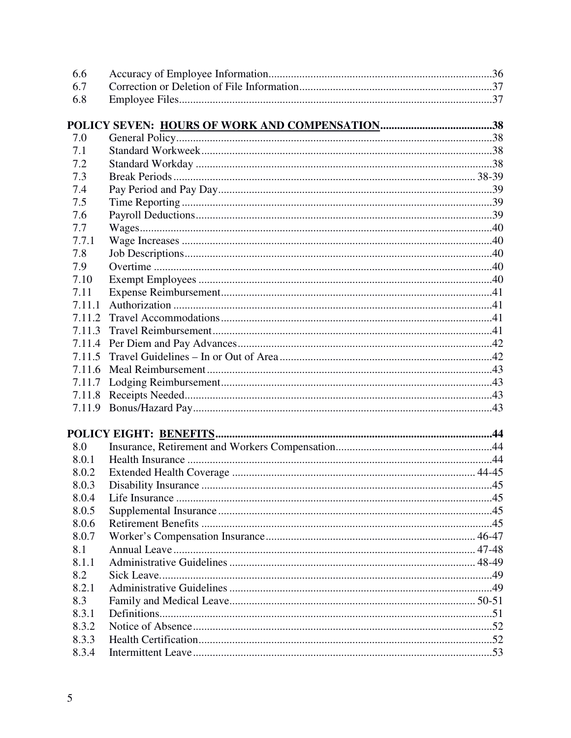| 6.6    |  |
|--------|--|
| 6.7    |  |
| 6.8    |  |
|        |  |
| 7.0    |  |
| 7.1    |  |
| 7.2    |  |
| 7.3    |  |
| 7.4    |  |
| 7.5    |  |
| 7.6    |  |
| 7.7    |  |
| 7.7.1  |  |
| 7.8    |  |
| 7.9    |  |
| 7.10   |  |
| 7.11   |  |
| 7.11.1 |  |
| 7.11.2 |  |
| 7.11.3 |  |
| 7.11.4 |  |
| 7.11.5 |  |
| 7.11.6 |  |
| 7.11.7 |  |
|        |  |
| 7.11.9 |  |
|        |  |
| 8.0    |  |
| 8.0.1  |  |
| 8.0.2  |  |
| 8.0.3  |  |
| 8.0.4  |  |
| 8.0.5  |  |
| 8.0.6  |  |
| 8.0.7  |  |
| 8.1    |  |
| 8.1.1  |  |
| 8.2    |  |
| 8.2.1  |  |
| 8.3    |  |
| 8.3.1  |  |
| 8.3.2  |  |
| 8.3.3  |  |
| 8.3.4  |  |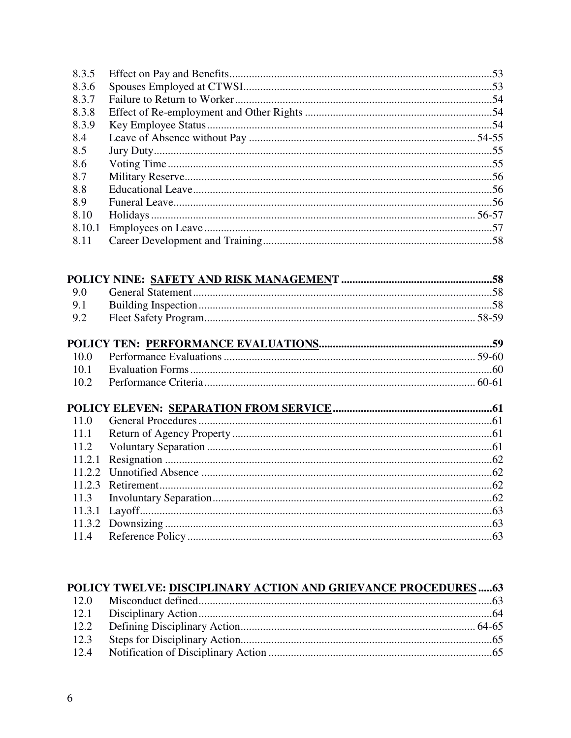| 8.3.5  |  |
|--------|--|
| 8.3.6  |  |
| 8.3.7  |  |
| 8.3.8  |  |
| 8.3.9  |  |
| 8.4    |  |
| 8.5    |  |
| 8.6    |  |
| 8.7    |  |
| 8.8    |  |
| 8.9    |  |
| 8.10   |  |
| 8.10.1 |  |
| 8.11   |  |
|        |  |
|        |  |
|        |  |
| 9.0    |  |
| 9.1    |  |
| 9.2    |  |
|        |  |
| 10.0   |  |
| 10.1   |  |
| 10.2   |  |
|        |  |
|        |  |
| 11.0   |  |
| 11.1   |  |
| 11.2   |  |
| 11.2.1 |  |
| 11.2.2 |  |
| 11.2.3 |  |
| 11.3   |  |
|        |  |
| 11.3.1 |  |
| 11.3.2 |  |
| 11.4   |  |

#### POLICY TWELVE: DISCIPLINARY ACTION AND GRIEVANCE PROCEDURES...... 63 12.0 Misconduct defined. 63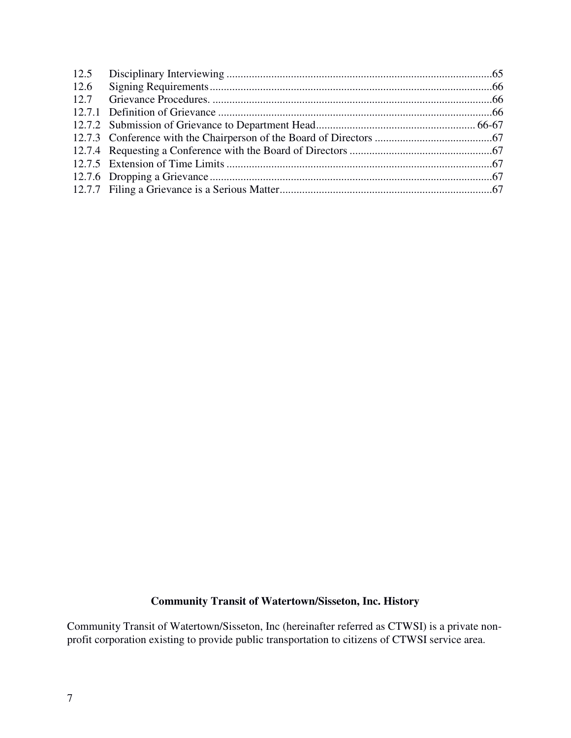| 12.6 |  |
|------|--|
|      |  |
|      |  |
|      |  |
|      |  |
|      |  |
|      |  |
|      |  |
|      |  |

# **Community Transit of Watertown/Sisseton, Inc. History**

Community Transit of Watertown/Sisseton, Inc (hereinafter referred as CTWSI) is a private nonprofit corporation existing to provide public transportation to citizens of CTWSI service area.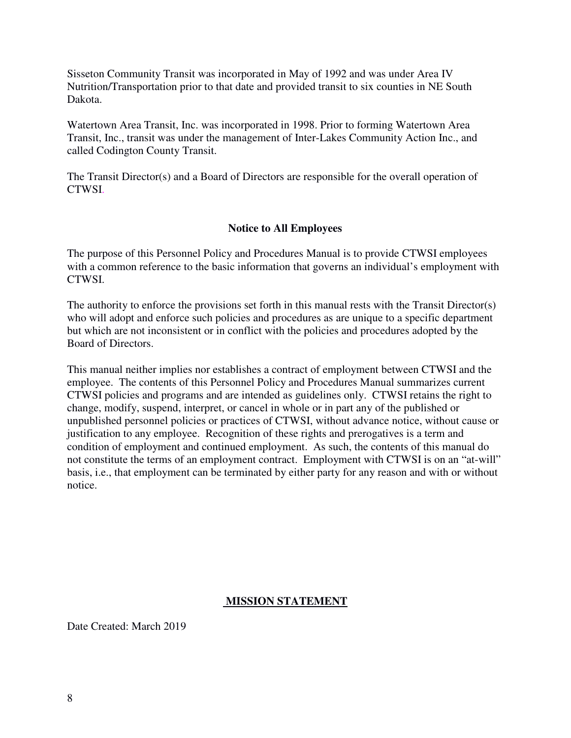Sisseton Community Transit was incorporated in May of 1992 and was under Area IV Nutrition/Transportation prior to that date and provided transit to six counties in NE South Dakota.

Watertown Area Transit, Inc. was incorporated in 1998. Prior to forming Watertown Area Transit, Inc., transit was under the management of Inter-Lakes Community Action Inc., and called Codington County Transit.

The Transit Director(s) and a Board of Directors are responsible for the overall operation of CTWSI.

#### **Notice to All Employees**

The purpose of this Personnel Policy and Procedures Manual is to provide CTWSI employees with a common reference to the basic information that governs an individual's employment with CTWSI.

The authority to enforce the provisions set forth in this manual rests with the Transit Director(s) who will adopt and enforce such policies and procedures as are unique to a specific department but which are not inconsistent or in conflict with the policies and procedures adopted by the Board of Directors.

This manual neither implies nor establishes a contract of employment between CTWSI and the employee. The contents of this Personnel Policy and Procedures Manual summarizes current CTWSI policies and programs and are intended as guidelines only. CTWSI retains the right to change, modify, suspend, interpret, or cancel in whole or in part any of the published or unpublished personnel policies or practices of CTWSI, without advance notice, without cause or justification to any employee. Recognition of these rights and prerogatives is a term and condition of employment and continued employment. As such, the contents of this manual do not constitute the terms of an employment contract. Employment with CTWSI is on an "at-will" basis, i.e., that employment can be terminated by either party for any reason and with or without notice.

#### **MISSION STATEMENT**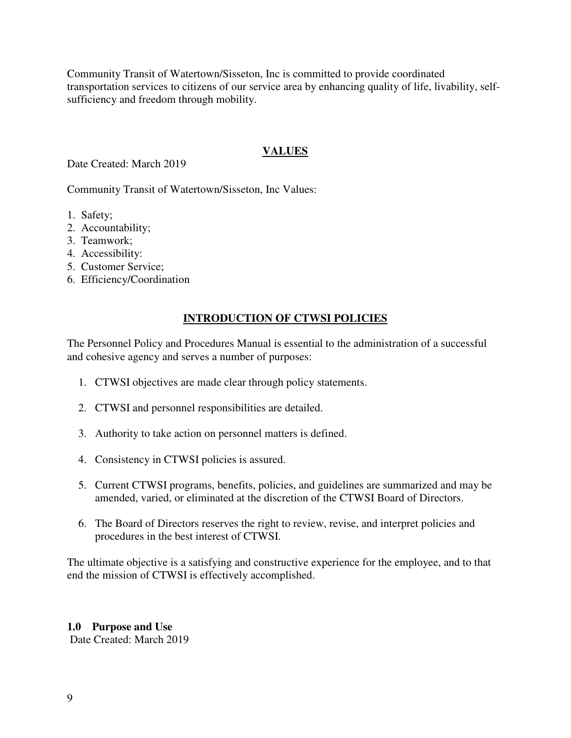Community Transit of Watertown/Sisseton, Inc is committed to provide coordinated transportation services to citizens of our service area by enhancing quality of life, livability, selfsufficiency and freedom through mobility.

# **VALUES**

Date Created: March 2019

Community Transit of Watertown/Sisseton, Inc Values:

- 1. Safety;
- 2. Accountability;
- 3. Teamwork;
- 4. Accessibility:
- 5. Customer Service;
- 6. Efficiency/Coordination

# **INTRODUCTION OF CTWSI POLICIES**

The Personnel Policy and Procedures Manual is essential to the administration of a successful and cohesive agency and serves a number of purposes:

- 1. CTWSI objectives are made clear through policy statements.
- 2. CTWSI and personnel responsibilities are detailed.
- 3. Authority to take action on personnel matters is defined.
- 4. Consistency in CTWSI policies is assured.
- 5. Current CTWSI programs, benefits, policies, and guidelines are summarized and may be amended, varied, or eliminated at the discretion of the CTWSI Board of Directors.
- 6. The Board of Directors reserves the right to review, revise, and interpret policies and procedures in the best interest of CTWSI.

The ultimate objective is a satisfying and constructive experience for the employee, and to that end the mission of CTWSI is effectively accomplished.

# **1.0 Purpose and Use**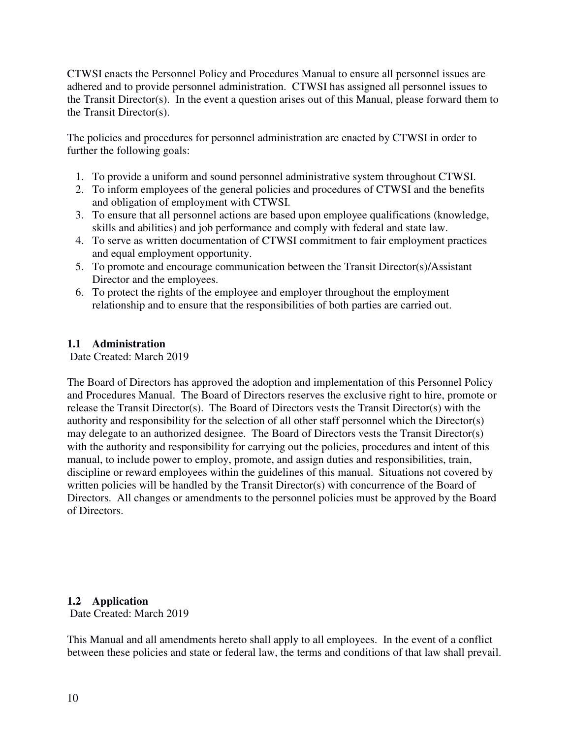CTWSI enacts the Personnel Policy and Procedures Manual to ensure all personnel issues are adhered and to provide personnel administration. CTWSI has assigned all personnel issues to the Transit Director(s). In the event a question arises out of this Manual, please forward them to the Transit Director(s).

The policies and procedures for personnel administration are enacted by CTWSI in order to further the following goals:

- 1. To provide a uniform and sound personnel administrative system throughout CTWSI.
- 2. To inform employees of the general policies and procedures of CTWSI and the benefits and obligation of employment with CTWSI.
- 3. To ensure that all personnel actions are based upon employee qualifications (knowledge, skills and abilities) and job performance and comply with federal and state law.
- 4. To serve as written documentation of CTWSI commitment to fair employment practices and equal employment opportunity.
- 5. To promote and encourage communication between the Transit Director(s)/Assistant Director and the employees.
- 6. To protect the rights of the employee and employer throughout the employment relationship and to ensure that the responsibilities of both parties are carried out.

# **1.1 Administration**

Date Created: March 2019

The Board of Directors has approved the adoption and implementation of this Personnel Policy and Procedures Manual. The Board of Directors reserves the exclusive right to hire, promote or release the Transit Director(s). The Board of Directors vests the Transit Director(s) with the authority and responsibility for the selection of all other staff personnel which the Director(s) may delegate to an authorized designee. The Board of Directors vests the Transit Director(s) with the authority and responsibility for carrying out the policies, procedures and intent of this manual, to include power to employ, promote, and assign duties and responsibilities, train, discipline or reward employees within the guidelines of this manual. Situations not covered by written policies will be handled by the Transit Director(s) with concurrence of the Board of Directors. All changes or amendments to the personnel policies must be approved by the Board of Directors.

# **1.2 Application**

Date Created: March 2019

This Manual and all amendments hereto shall apply to all employees. In the event of a conflict between these policies and state or federal law, the terms and conditions of that law shall prevail.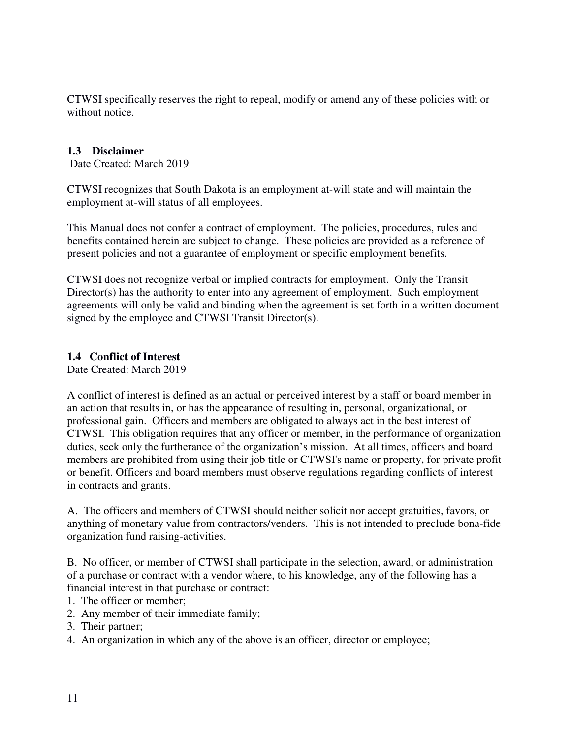CTWSI specifically reserves the right to repeal, modify or amend any of these policies with or without notice.

# **1.3 Disclaimer**

Date Created: March 2019

CTWSI recognizes that South Dakota is an employment at-will state and will maintain the employment at-will status of all employees.

This Manual does not confer a contract of employment. The policies, procedures, rules and benefits contained herein are subject to change. These policies are provided as a reference of present policies and not a guarantee of employment or specific employment benefits.

CTWSI does not recognize verbal or implied contracts for employment. Only the Transit Director(s) has the authority to enter into any agreement of employment. Such employment agreements will only be valid and binding when the agreement is set forth in a written document signed by the employee and CTWSI Transit Director(s).

# **1.4 Conflict of Interest**

Date Created: March 2019

A conflict of interest is defined as an actual or perceived interest by a staff or board member in an action that results in, or has the appearance of resulting in, personal, organizational, or professional gain. Officers and members are obligated to always act in the best interest of CTWSI. This obligation requires that any officer or member, in the performance of organization duties, seek only the furtherance of the organization's mission. At all times, officers and board members are prohibited from using their job title or CTWSI's name or property, for private profit or benefit. Officers and board members must observe regulations regarding conflicts of interest in contracts and grants.

A. The officers and members of CTWSI should neither solicit nor accept gratuities, favors, or anything of monetary value from contractors/venders. This is not intended to preclude bona-fide organization fund raising-activities.

B. No officer, or member of CTWSI shall participate in the selection, award, or administration of a purchase or contract with a vendor where, to his knowledge, any of the following has a financial interest in that purchase or contract:

- 1. The officer or member;
- 2. Any member of their immediate family;
- 3. Their partner;
- 4. An organization in which any of the above is an officer, director or employee;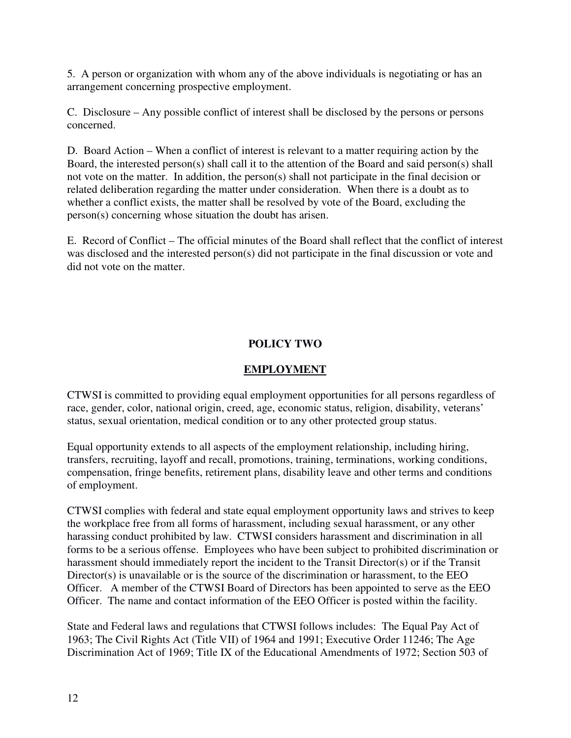5. A person or organization with whom any of the above individuals is negotiating or has an arrangement concerning prospective employment.

C. Disclosure – Any possible conflict of interest shall be disclosed by the persons or persons concerned.

D. Board Action – When a conflict of interest is relevant to a matter requiring action by the Board, the interested person(s) shall call it to the attention of the Board and said person(s) shall not vote on the matter. In addition, the person(s) shall not participate in the final decision or related deliberation regarding the matter under consideration. When there is a doubt as to whether a conflict exists, the matter shall be resolved by vote of the Board, excluding the person(s) concerning whose situation the doubt has arisen.

E. Record of Conflict – The official minutes of the Board shall reflect that the conflict of interest was disclosed and the interested person(s) did not participate in the final discussion or vote and did not vote on the matter.

# **POLICY TWO**

# **EMPLOYMENT**

CTWSI is committed to providing equal employment opportunities for all persons regardless of race, gender, color, national origin, creed, age, economic status, religion, disability, veterans' status, sexual orientation, medical condition or to any other protected group status.

Equal opportunity extends to all aspects of the employment relationship, including hiring, transfers, recruiting, layoff and recall, promotions, training, terminations, working conditions, compensation, fringe benefits, retirement plans, disability leave and other terms and conditions of employment.

CTWSI complies with federal and state equal employment opportunity laws and strives to keep the workplace free from all forms of harassment, including sexual harassment, or any other harassing conduct prohibited by law. CTWSI considers harassment and discrimination in all forms to be a serious offense. Employees who have been subject to prohibited discrimination or harassment should immediately report the incident to the Transit Director(s) or if the Transit Director(s) is unavailable or is the source of the discrimination or harassment, to the EEO Officer. A member of the CTWSI Board of Directors has been appointed to serve as the EEO Officer. The name and contact information of the EEO Officer is posted within the facility.

State and Federal laws and regulations that CTWSI follows includes: The Equal Pay Act of 1963; The Civil Rights Act (Title VII) of 1964 and 1991; Executive Order 11246; The Age Discrimination Act of 1969; Title IX of the Educational Amendments of 1972; Section 503 of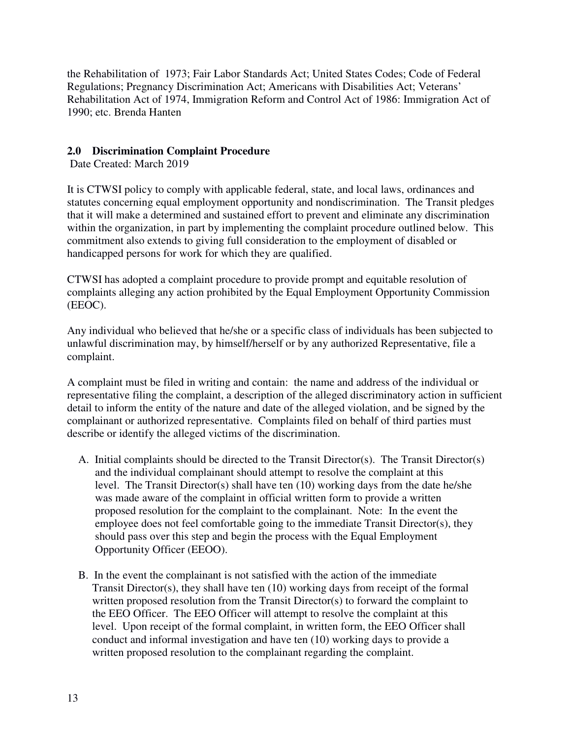the Rehabilitation of 1973; Fair Labor Standards Act; United States Codes; Code of Federal Regulations; Pregnancy Discrimination Act; Americans with Disabilities Act; Veterans' Rehabilitation Act of 1974, Immigration Reform and Control Act of 1986: Immigration Act of 1990; etc. Brenda Hanten

# **2.0 Discrimination Complaint Procedure**

Date Created: March 2019

It is CTWSI policy to comply with applicable federal, state, and local laws, ordinances and statutes concerning equal employment opportunity and nondiscrimination. The Transit pledges that it will make a determined and sustained effort to prevent and eliminate any discrimination within the organization, in part by implementing the complaint procedure outlined below. This commitment also extends to giving full consideration to the employment of disabled or handicapped persons for work for which they are qualified.

CTWSI has adopted a complaint procedure to provide prompt and equitable resolution of complaints alleging any action prohibited by the Equal Employment Opportunity Commission (EEOC).

Any individual who believed that he/she or a specific class of individuals has been subjected to unlawful discrimination may, by himself/herself or by any authorized Representative, file a complaint.

A complaint must be filed in writing and contain: the name and address of the individual or representative filing the complaint, a description of the alleged discriminatory action in sufficient detail to inform the entity of the nature and date of the alleged violation, and be signed by the complainant or authorized representative. Complaints filed on behalf of third parties must describe or identify the alleged victims of the discrimination.

- A. Initial complaints should be directed to the Transit Director(s). The Transit Director(s) and the individual complainant should attempt to resolve the complaint at this level. The Transit Director(s) shall have ten (10) working days from the date he/she was made aware of the complaint in official written form to provide a written proposed resolution for the complaint to the complainant. Note: In the event the employee does not feel comfortable going to the immediate Transit Director(s), they should pass over this step and begin the process with the Equal Employment Opportunity Officer (EEOO).
- B. In the event the complainant is not satisfied with the action of the immediate Transit Director(s), they shall have ten (10) working days from receipt of the formal written proposed resolution from the Transit Director(s) to forward the complaint to the EEO Officer. The EEO Officer will attempt to resolve the complaint at this level. Upon receipt of the formal complaint, in written form, the EEO Officer shall conduct and informal investigation and have ten (10) working days to provide a written proposed resolution to the complainant regarding the complaint.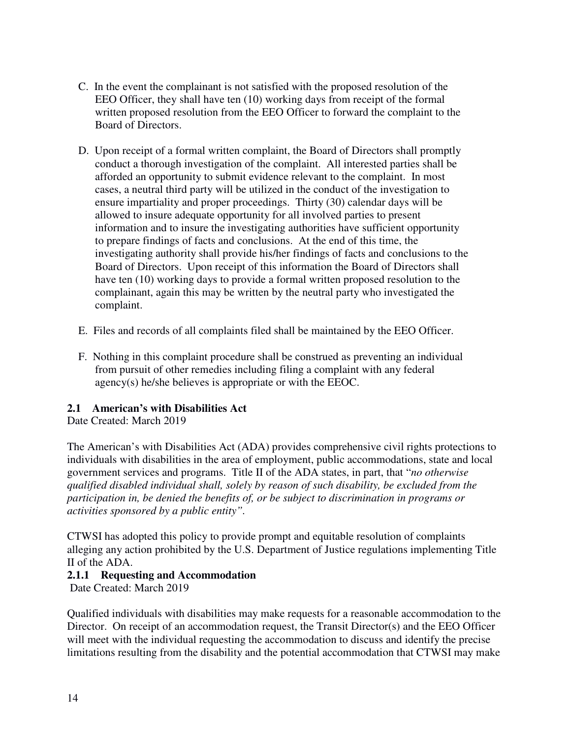- C. In the event the complainant is not satisfied with the proposed resolution of the EEO Officer, they shall have ten (10) working days from receipt of the formal written proposed resolution from the EEO Officer to forward the complaint to the Board of Directors.
- D. Upon receipt of a formal written complaint, the Board of Directors shall promptly conduct a thorough investigation of the complaint. All interested parties shall be afforded an opportunity to submit evidence relevant to the complaint. In most cases, a neutral third party will be utilized in the conduct of the investigation to ensure impartiality and proper proceedings. Thirty (30) calendar days will be allowed to insure adequate opportunity for all involved parties to present information and to insure the investigating authorities have sufficient opportunity to prepare findings of facts and conclusions. At the end of this time, the investigating authority shall provide his/her findings of facts and conclusions to the Board of Directors. Upon receipt of this information the Board of Directors shall have ten (10) working days to provide a formal written proposed resolution to the complainant, again this may be written by the neutral party who investigated the complaint.
- E. Files and records of all complaints filed shall be maintained by the EEO Officer.
- F. Nothing in this complaint procedure shall be construed as preventing an individual from pursuit of other remedies including filing a complaint with any federal agency(s) he/she believes is appropriate or with the EEOC.

# **2.1 American's with Disabilities Act**

Date Created: March 2019

The American's with Disabilities Act (ADA) provides comprehensive civil rights protections to individuals with disabilities in the area of employment, public accommodations, state and local government services and programs. Title II of the ADA states, in part, that "*no otherwise qualified disabled individual shall, solely by reason of such disability, be excluded from the participation in, be denied the benefits of, or be subject to discrimination in programs or activities sponsored by a public entity".* 

CTWSI has adopted this policy to provide prompt and equitable resolution of complaints alleging any action prohibited by the U.S. Department of Justice regulations implementing Title II of the ADA.

# **2.1.1 Requesting and Accommodation**

Date Created: March 2019

Qualified individuals with disabilities may make requests for a reasonable accommodation to the Director. On receipt of an accommodation request, the Transit Director(s) and the EEO Officer will meet with the individual requesting the accommodation to discuss and identify the precise limitations resulting from the disability and the potential accommodation that CTWSI may make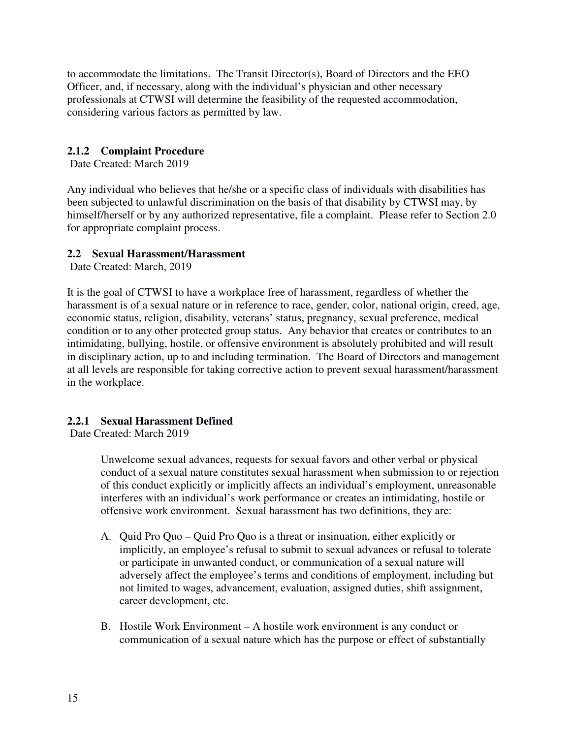to accommodate the limitations. The Transit Director(s), Board of Directors and the EEO Officer, and, if necessary, along with the individual's physician and other necessary professionals at CTWSI will determine the feasibility of the requested accommodation, considering various factors as permitted by law.

# **2.1.2 Complaint Procedure**

Date Created: March 2019

Any individual who believes that he/she or a specific class of individuals with disabilities has been subjected to unlawful discrimination on the basis of that disability by CTWSI may, by himself/herself or by any authorized representative, file a complaint. Please refer to Section 2.0 for appropriate complaint process.

# **2.2 Sexual Harassment/Harassment**

Date Created: March, 2019

It is the goal of CTWSI to have a workplace free of harassment, regardless of whether the harassment is of a sexual nature or in reference to race, gender, color, national origin, creed, age, economic status, religion, disability, veterans' status, pregnancy, sexual preference, medical condition or to any other protected group status. Any behavior that creates or contributes to an intimidating, bullying, hostile, or offensive environment is absolutely prohibited and will result in disciplinary action, up to and including termination. The Board of Directors and management at all levels are responsible for taking corrective action to prevent sexual harassment/harassment in the workplace.

# **2.2.1 Sexual Harassment Defined**

Date Created: March 2019

Unwelcome sexual advances, requests for sexual favors and other verbal or physical conduct of a sexual nature constitutes sexual harassment when submission to or rejection of this conduct explicitly or implicitly affects an individual's employment, unreasonable interferes with an individual's work performance or creates an intimidating, hostile or offensive work environment. Sexual harassment has two definitions, they are:

- A. Quid Pro Quo Quid Pro Quo is a threat or insinuation, either explicitly or implicitly, an employee's refusal to submit to sexual advances or refusal to tolerate or participate in unwanted conduct, or communication of a sexual nature will adversely affect the employee's terms and conditions of employment, including but not limited to wages, advancement, evaluation, assigned duties, shift assignment, career development, etc.
- B. Hostile Work Environment A hostile work environment is any conduct or communication of a sexual nature which has the purpose or effect of substantially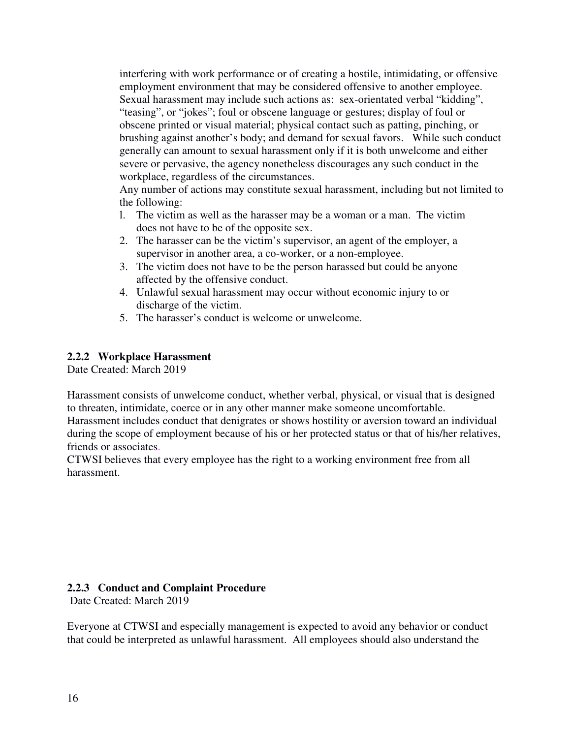interfering with work performance or of creating a hostile, intimidating, or offensive employment environment that may be considered offensive to another employee. Sexual harassment may include such actions as: sex-orientated verbal "kidding", "teasing", or "jokes"; foul or obscene language or gestures; display of foul or obscene printed or visual material; physical contact such as patting, pinching, or brushing against another's body; and demand for sexual favors. While such conduct generally can amount to sexual harassment only if it is both unwelcome and either severe or pervasive, the agency nonetheless discourages any such conduct in the workplace, regardless of the circumstances.

Any number of actions may constitute sexual harassment, including but not limited to the following:

- l. The victim as well as the harasser may be a woman or a man. The victim does not have to be of the opposite sex.
- 2. The harasser can be the victim's supervisor, an agent of the employer, a supervisor in another area, a co-worker, or a non-employee.
- 3. The victim does not have to be the person harassed but could be anyone affected by the offensive conduct.
- 4. Unlawful sexual harassment may occur without economic injury to or discharge of the victim.
- 5. The harasser's conduct is welcome or unwelcome.

# **2.2.2 Workplace Harassment**

Date Created: March 2019

Harassment consists of unwelcome conduct, whether verbal, physical, or visual that is designed to threaten, intimidate, coerce or in any other manner make someone uncomfortable.

Harassment includes conduct that denigrates or shows hostility or aversion toward an individual during the scope of employment because of his or her protected status or that of his/her relatives, friends or associates.

CTWSI believes that every employee has the right to a working environment free from all harassment.

#### **2.2.3 Conduct and Complaint Procedure**

Date Created: March 2019

Everyone at CTWSI and especially management is expected to avoid any behavior or conduct that could be interpreted as unlawful harassment. All employees should also understand the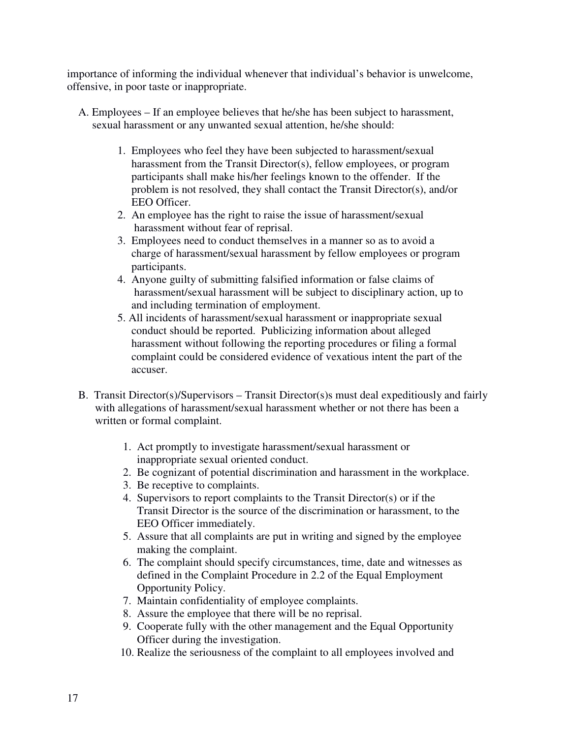importance of informing the individual whenever that individual's behavior is unwelcome, offensive, in poor taste or inappropriate.

- A. Employees If an employee believes that he/she has been subject to harassment, sexual harassment or any unwanted sexual attention, he/she should:
	- 1. Employees who feel they have been subjected to harassment/sexual harassment from the Transit Director(s), fellow employees, or program participants shall make his/her feelings known to the offender. If the problem is not resolved, they shall contact the Transit Director(s), and/or EEO Officer.
	- 2. An employee has the right to raise the issue of harassment/sexual harassment without fear of reprisal.
	- 3. Employees need to conduct themselves in a manner so as to avoid a charge of harassment/sexual harassment by fellow employees or program participants.
	- 4. Anyone guilty of submitting falsified information or false claims of harassment/sexual harassment will be subject to disciplinary action, up to and including termination of employment.
	- 5. All incidents of harassment/sexual harassment or inappropriate sexual conduct should be reported. Publicizing information about alleged harassment without following the reporting procedures or filing a formal complaint could be considered evidence of vexatious intent the part of the accuser.
- B. Transit Director(s)/Supervisors Transit Director(s)s must deal expeditiously and fairly with allegations of harassment/sexual harassment whether or not there has been a written or formal complaint.
	- 1. Act promptly to investigate harassment/sexual harassment or inappropriate sexual oriented conduct.
	- 2. Be cognizant of potential discrimination and harassment in the workplace.
	- 3. Be receptive to complaints.
	- 4. Supervisors to report complaints to the Transit Director(s) or if the Transit Director is the source of the discrimination or harassment, to the EEO Officer immediately.
	- 5. Assure that all complaints are put in writing and signed by the employee making the complaint.
	- 6. The complaint should specify circumstances, time, date and witnesses as defined in the Complaint Procedure in 2.2 of the Equal Employment Opportunity Policy.
	- 7. Maintain confidentiality of employee complaints.
	- 8. Assure the employee that there will be no reprisal.
	- 9. Cooperate fully with the other management and the Equal Opportunity Officer during the investigation.
	- 10. Realize the seriousness of the complaint to all employees involved and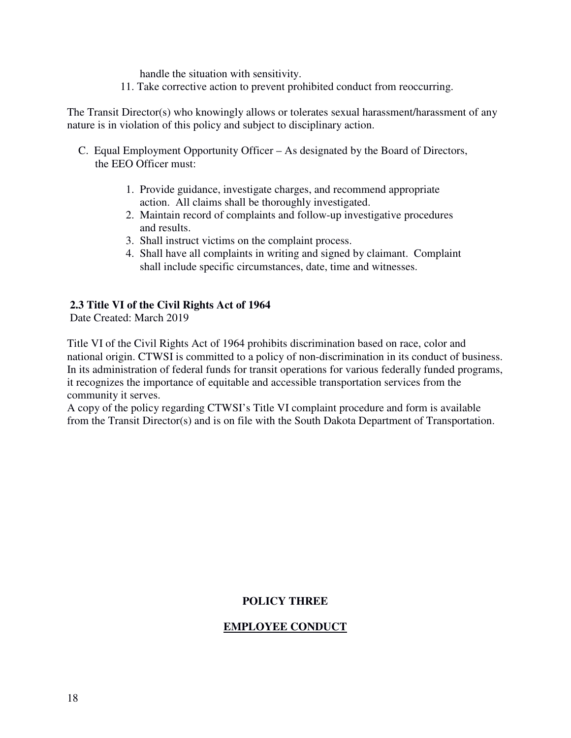handle the situation with sensitivity.

11. Take corrective action to prevent prohibited conduct from reoccurring.

The Transit Director(s) who knowingly allows or tolerates sexual harassment/harassment of any nature is in violation of this policy and subject to disciplinary action.

- C. Equal Employment Opportunity Officer As designated by the Board of Directors, the EEO Officer must:
	- 1. Provide guidance, investigate charges, and recommend appropriate action. All claims shall be thoroughly investigated.
	- 2. Maintain record of complaints and follow-up investigative procedures and results.
	- 3. Shall instruct victims on the complaint process.
	- 4. Shall have all complaints in writing and signed by claimant. Complaint shall include specific circumstances, date, time and witnesses.

#### **2.3 Title VI of the Civil Rights Act of 1964**

Date Created: March 2019

Title VI of the Civil Rights Act of 1964 prohibits discrimination based on race, color and national origin. CTWSI is committed to a policy of non-discrimination in its conduct of business. In its administration of federal funds for transit operations for various federally funded programs, it recognizes the importance of equitable and accessible transportation services from the community it serves.

A copy of the policy regarding CTWSI's Title VI complaint procedure and form is available from the Transit Director(s) and is on file with the South Dakota Department of Transportation.

### **POLICY THREE**

#### **EMPLOYEE CONDUCT**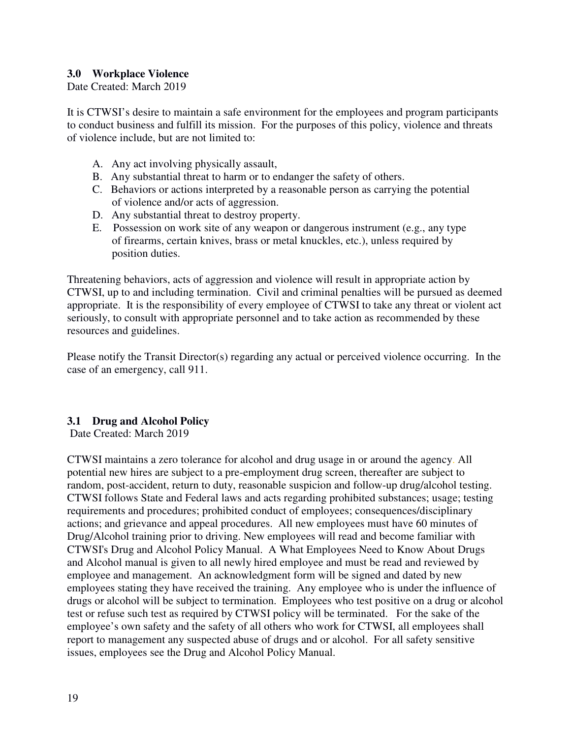# **3.0 Workplace Violence**

Date Created: March 2019

It is CTWSI's desire to maintain a safe environment for the employees and program participants to conduct business and fulfill its mission. For the purposes of this policy, violence and threats of violence include, but are not limited to:

- A. Any act involving physically assault,
- B. Any substantial threat to harm or to endanger the safety of others.
- C. Behaviors or actions interpreted by a reasonable person as carrying the potential of violence and/or acts of aggression.
- D. Any substantial threat to destroy property.
- E. Possession on work site of any weapon or dangerous instrument (e.g., any type of firearms, certain knives, brass or metal knuckles, etc.), unless required by position duties.

Threatening behaviors, acts of aggression and violence will result in appropriate action by CTWSI, up to and including termination. Civil and criminal penalties will be pursued as deemed appropriate. It is the responsibility of every employee of CTWSI to take any threat or violent act seriously, to consult with appropriate personnel and to take action as recommended by these resources and guidelines.

Please notify the Transit Director(s) regarding any actual or perceived violence occurring. In the case of an emergency, call 911.

# **3.1 Drug and Alcohol Policy**

Date Created: March 2019

CTWSI maintains a zero tolerance for alcohol and drug usage in or around the agency. All potential new hires are subject to a pre-employment drug screen, thereafter are subject to random, post-accident, return to duty, reasonable suspicion and follow-up drug/alcohol testing. CTWSI follows State and Federal laws and acts regarding prohibited substances; usage; testing requirements and procedures; prohibited conduct of employees; consequences/disciplinary actions; and grievance and appeal procedures. All new employees must have 60 minutes of Drug/Alcohol training prior to driving. New employees will read and become familiar with CTWSI's Drug and Alcohol Policy Manual. A What Employees Need to Know About Drugs and Alcohol manual is given to all newly hired employee and must be read and reviewed by employee and management. An acknowledgment form will be signed and dated by new employees stating they have received the training. Any employee who is under the influence of drugs or alcohol will be subject to termination. Employees who test positive on a drug or alcohol test or refuse such test as required by CTWSI policy will be terminated. For the sake of the employee's own safety and the safety of all others who work for CTWSI, all employees shall report to management any suspected abuse of drugs and or alcohol. For all safety sensitive issues, employees see the Drug and Alcohol Policy Manual.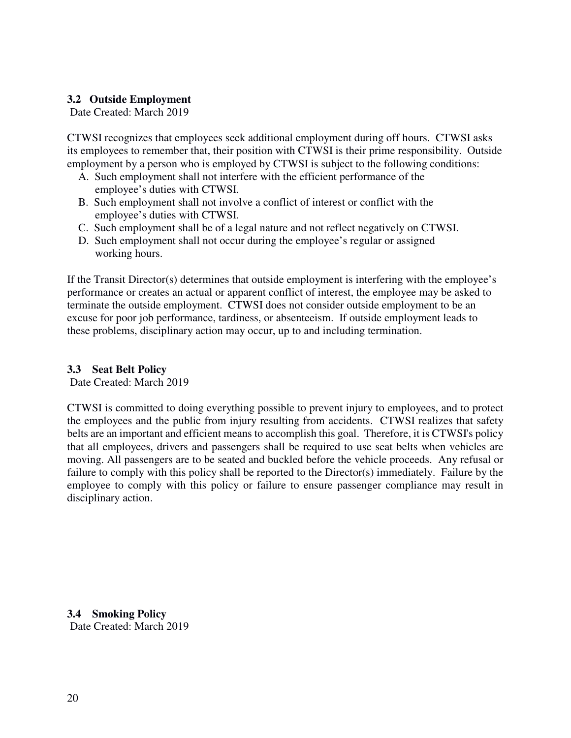# **3.2 Outside Employment**

Date Created: March 2019

CTWSI recognizes that employees seek additional employment during off hours. CTWSI asks its employees to remember that, their position with CTWSI is their prime responsibility. Outside employment by a person who is employed by CTWSI is subject to the following conditions:

- A. Such employment shall not interfere with the efficient performance of the employee's duties with CTWSI.
- B. Such employment shall not involve a conflict of interest or conflict with the employee's duties with CTWSI.
- C. Such employment shall be of a legal nature and not reflect negatively on CTWSI.
- D. Such employment shall not occur during the employee's regular or assigned working hours.

If the Transit Director(s) determines that outside employment is interfering with the employee's performance or creates an actual or apparent conflict of interest, the employee may be asked to terminate the outside employment. CTWSI does not consider outside employment to be an excuse for poor job performance, tardiness, or absenteeism. If outside employment leads to these problems, disciplinary action may occur, up to and including termination.

# **3.3 Seat Belt Policy**

Date Created: March 2019

CTWSI is committed to doing everything possible to prevent injury to employees, and to protect the employees and the public from injury resulting from accidents. CTWSI realizes that safety belts are an important and efficient means to accomplish this goal. Therefore, it is CTWSI's policy that all employees, drivers and passengers shall be required to use seat belts when vehicles are moving. All passengers are to be seated and buckled before the vehicle proceeds. Any refusal or failure to comply with this policy shall be reported to the Director(s) immediately. Failure by the employee to comply with this policy or failure to ensure passenger compliance may result in disciplinary action.

**3.4 Smoking Policy** Date Created: March 2019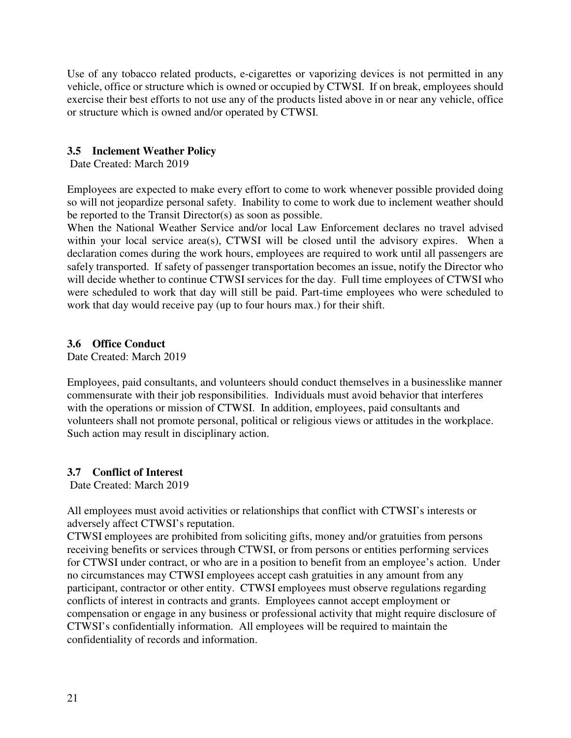Use of any tobacco related products, e-cigarettes or vaporizing devices is not permitted in any vehicle, office or structure which is owned or occupied by CTWSI. If on break, employees should exercise their best efforts to not use any of the products listed above in or near any vehicle, office or structure which is owned and/or operated by CTWSI.

# **3.5 Inclement Weather Policy**

Date Created: March 2019

Employees are expected to make every effort to come to work whenever possible provided doing so will not jeopardize personal safety. Inability to come to work due to inclement weather should be reported to the Transit Director(s) as soon as possible.

When the National Weather Service and/or local Law Enforcement declares no travel advised within your local service area(s), CTWSI will be closed until the advisory expires. When a declaration comes during the work hours, employees are required to work until all passengers are safely transported. If safety of passenger transportation becomes an issue, notify the Director who will decide whether to continue CTWSI services for the day. Full time employees of CTWSI who were scheduled to work that day will still be paid. Part-time employees who were scheduled to work that day would receive pay (up to four hours max.) for their shift.

# **3.6 Office Conduct**

Date Created: March 2019

Employees, paid consultants, and volunteers should conduct themselves in a businesslike manner commensurate with their job responsibilities. Individuals must avoid behavior that interferes with the operations or mission of CTWSI. In addition, employees, paid consultants and volunteers shall not promote personal, political or religious views or attitudes in the workplace. Such action may result in disciplinary action.

# **3.7 Conflict of Interest**

Date Created: March 2019

All employees must avoid activities or relationships that conflict with CTWSI's interests or adversely affect CTWSI's reputation.

CTWSI employees are prohibited from soliciting gifts, money and/or gratuities from persons receiving benefits or services through CTWSI, or from persons or entities performing services for CTWSI under contract, or who are in a position to benefit from an employee's action. Under no circumstances may CTWSI employees accept cash gratuities in any amount from any participant, contractor or other entity. CTWSI employees must observe regulations regarding conflicts of interest in contracts and grants. Employees cannot accept employment or compensation or engage in any business or professional activity that might require disclosure of CTWSI's confidentially information. All employees will be required to maintain the confidentiality of records and information.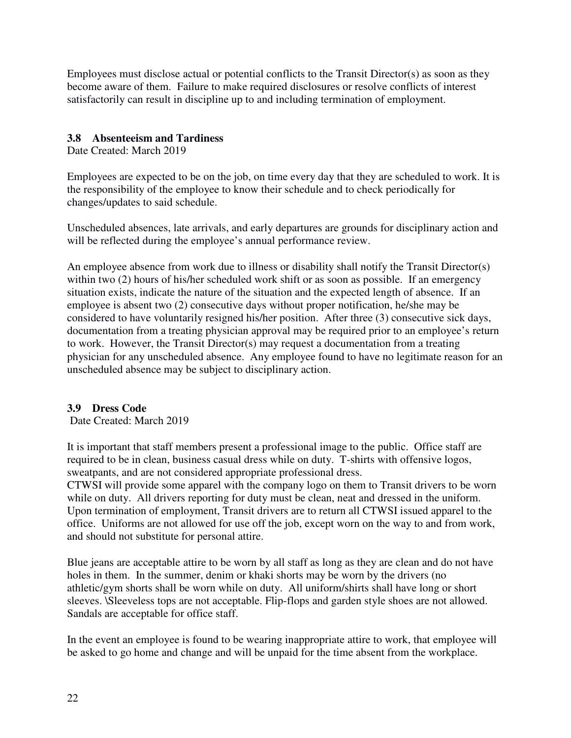Employees must disclose actual or potential conflicts to the Transit Director(s) as soon as they become aware of them. Failure to make required disclosures or resolve conflicts of interest satisfactorily can result in discipline up to and including termination of employment.

# **3.8 Absenteeism and Tardiness**

Date Created: March 2019

Employees are expected to be on the job, on time every day that they are scheduled to work. It is the responsibility of the employee to know their schedule and to check periodically for changes/updates to said schedule.

Unscheduled absences, late arrivals, and early departures are grounds for disciplinary action and will be reflected during the employee's annual performance review.

An employee absence from work due to illness or disability shall notify the Transit Director(s) within two (2) hours of his/her scheduled work shift or as soon as possible. If an emergency situation exists, indicate the nature of the situation and the expected length of absence. If an employee is absent two (2) consecutive days without proper notification, he/she may be considered to have voluntarily resigned his/her position. After three (3) consecutive sick days, documentation from a treating physician approval may be required prior to an employee's return to work. However, the Transit Director(s) may request a documentation from a treating physician for any unscheduled absence. Any employee found to have no legitimate reason for an unscheduled absence may be subject to disciplinary action.

# **3.9 Dress Code**

Date Created: March 2019

It is important that staff members present a professional image to the public. Office staff are required to be in clean, business casual dress while on duty. T-shirts with offensive logos, sweatpants, and are not considered appropriate professional dress.

CTWSI will provide some apparel with the company logo on them to Transit drivers to be worn while on duty. All drivers reporting for duty must be clean, neat and dressed in the uniform. Upon termination of employment, Transit drivers are to return all CTWSI issued apparel to the office. Uniforms are not allowed for use off the job, except worn on the way to and from work, and should not substitute for personal attire.

Blue jeans are acceptable attire to be worn by all staff as long as they are clean and do not have holes in them. In the summer, denim or khaki shorts may be worn by the drivers (no athletic/gym shorts shall be worn while on duty. All uniform/shirts shall have long or short sleeves. \Sleeveless tops are not acceptable. Flip-flops and garden style shoes are not allowed. Sandals are acceptable for office staff.

In the event an employee is found to be wearing inappropriate attire to work, that employee will be asked to go home and change and will be unpaid for the time absent from the workplace.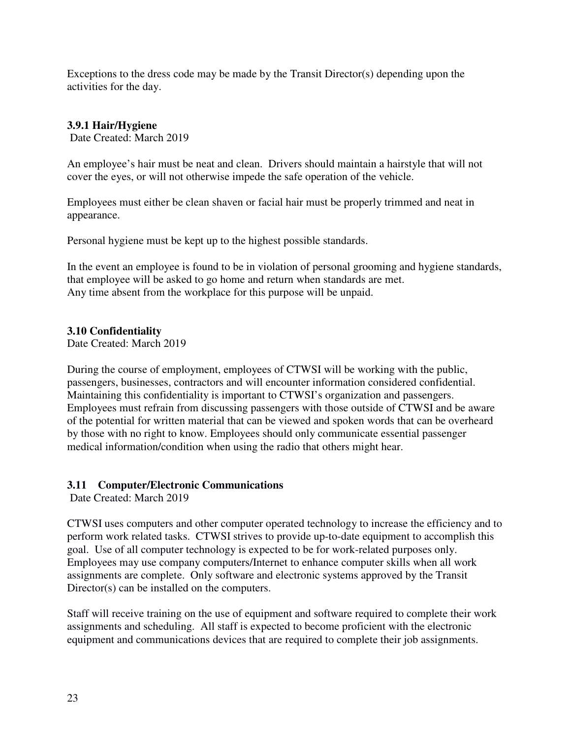Exceptions to the dress code may be made by the Transit Director(s) depending upon the activities for the day.

# **3.9.1 Hair/Hygiene**

Date Created: March 2019

An employee's hair must be neat and clean. Drivers should maintain a hairstyle that will not cover the eyes, or will not otherwise impede the safe operation of the vehicle.

Employees must either be clean shaven or facial hair must be properly trimmed and neat in appearance.

Personal hygiene must be kept up to the highest possible standards.

In the event an employee is found to be in violation of personal grooming and hygiene standards, that employee will be asked to go home and return when standards are met. Any time absent from the workplace for this purpose will be unpaid.

# **3.10 Confidentiality**

Date Created: March 2019

During the course of employment, employees of CTWSI will be working with the public, passengers, businesses, contractors and will encounter information considered confidential. Maintaining this confidentiality is important to CTWSI's organization and passengers. Employees must refrain from discussing passengers with those outside of CTWSI and be aware of the potential for written material that can be viewed and spoken words that can be overheard by those with no right to know. Employees should only communicate essential passenger medical information/condition when using the radio that others might hear.

# **3.11 Computer/Electronic Communications**

Date Created: March 2019

CTWSI uses computers and other computer operated technology to increase the efficiency and to perform work related tasks. CTWSI strives to provide up-to-date equipment to accomplish this goal. Use of all computer technology is expected to be for work-related purposes only. Employees may use company computers/Internet to enhance computer skills when all work assignments are complete. Only software and electronic systems approved by the Transit Director(s) can be installed on the computers.

Staff will receive training on the use of equipment and software required to complete their work assignments and scheduling. All staff is expected to become proficient with the electronic equipment and communications devices that are required to complete their job assignments.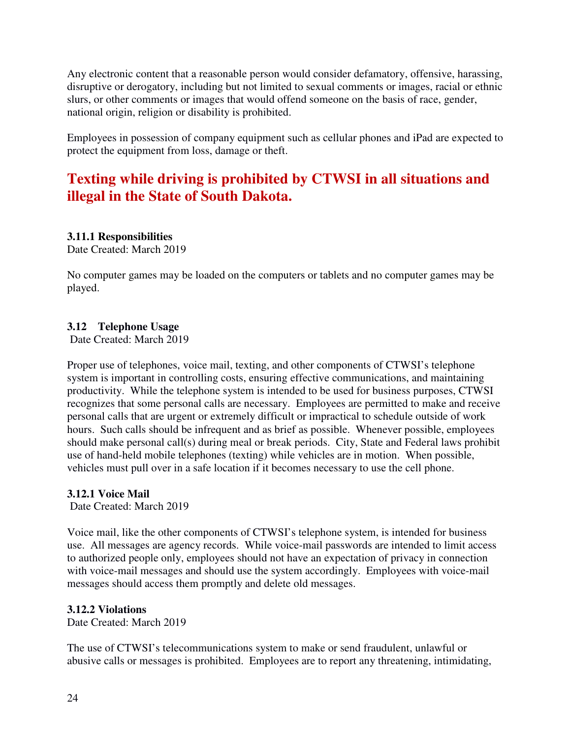Any electronic content that a reasonable person would consider defamatory, offensive, harassing, disruptive or derogatory, including but not limited to sexual comments or images, racial or ethnic slurs, or other comments or images that would offend someone on the basis of race, gender, national origin, religion or disability is prohibited.

Employees in possession of company equipment such as cellular phones and iPad are expected to protect the equipment from loss, damage or theft.

# **Texting while driving is prohibited by CTWSI in all situations and illegal in the State of South Dakota.**

# **3.11.1 Responsibilities**

Date Created: March 2019

No computer games may be loaded on the computers or tablets and no computer games may be played.

# **3.12 Telephone Usage**

Date Created: March 2019

Proper use of telephones, voice mail, texting, and other components of CTWSI's telephone system is important in controlling costs, ensuring effective communications, and maintaining productivity. While the telephone system is intended to be used for business purposes, CTWSI recognizes that some personal calls are necessary. Employees are permitted to make and receive personal calls that are urgent or extremely difficult or impractical to schedule outside of work hours. Such calls should be infrequent and as brief as possible. Whenever possible, employees should make personal call(s) during meal or break periods. City, State and Federal laws prohibit use of hand-held mobile telephones (texting) while vehicles are in motion. When possible, vehicles must pull over in a safe location if it becomes necessary to use the cell phone.

# **3.12.1 Voice Mail**

Date Created: March 2019

Voice mail, like the other components of CTWSI's telephone system, is intended for business use. All messages are agency records. While voice-mail passwords are intended to limit access to authorized people only, employees should not have an expectation of privacy in connection with voice-mail messages and should use the system accordingly. Employees with voice-mail messages should access them promptly and delete old messages.

# **3.12.2 Violations**

Date Created: March 2019

The use of CTWSI's telecommunications system to make or send fraudulent, unlawful or abusive calls or messages is prohibited. Employees are to report any threatening, intimidating,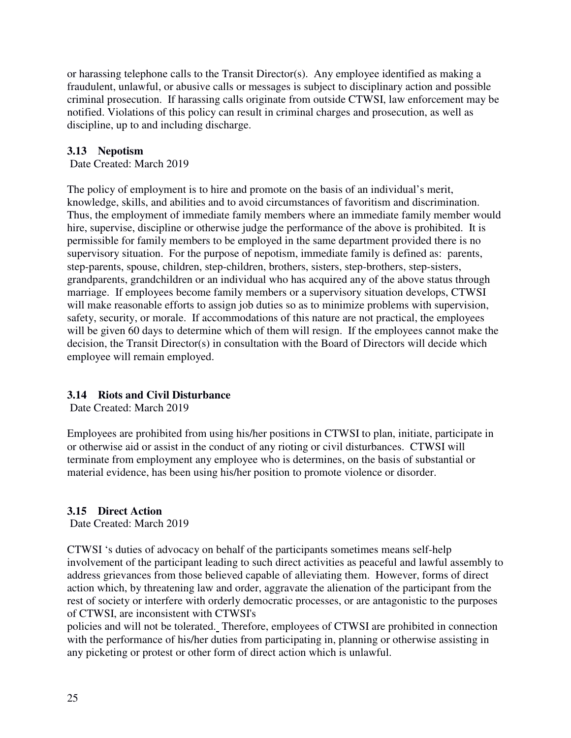or harassing telephone calls to the Transit Director(s). Any employee identified as making a fraudulent, unlawful, or abusive calls or messages is subject to disciplinary action and possible criminal prosecution. If harassing calls originate from outside CTWSI, law enforcement may be notified. Violations of this policy can result in criminal charges and prosecution, as well as discipline, up to and including discharge.

# **3.13 Nepotism**

Date Created: March 2019

The policy of employment is to hire and promote on the basis of an individual's merit, knowledge, skills, and abilities and to avoid circumstances of favoritism and discrimination. Thus, the employment of immediate family members where an immediate family member would hire, supervise, discipline or otherwise judge the performance of the above is prohibited. It is permissible for family members to be employed in the same department provided there is no supervisory situation. For the purpose of nepotism, immediate family is defined as: parents, step-parents, spouse, children, step-children, brothers, sisters, step-brothers, step-sisters, grandparents, grandchildren or an individual who has acquired any of the above status through marriage. If employees become family members or a supervisory situation develops, CTWSI will make reasonable efforts to assign job duties so as to minimize problems with supervision, safety, security, or morale. If accommodations of this nature are not practical, the employees will be given 60 days to determine which of them will resign. If the employees cannot make the decision, the Transit Director(s) in consultation with the Board of Directors will decide which employee will remain employed.

# **3.14 Riots and Civil Disturbance**

Date Created: March 2019

Employees are prohibited from using his/her positions in CTWSI to plan, initiate, participate in or otherwise aid or assist in the conduct of any rioting or civil disturbances. CTWSI will terminate from employment any employee who is determines, on the basis of substantial or material evidence, has been using his/her position to promote violence or disorder.

# **3.15 Direct Action**

Date Created: March 2019

CTWSI 's duties of advocacy on behalf of the participants sometimes means self-help involvement of the participant leading to such direct activities as peaceful and lawful assembly to address grievances from those believed capable of alleviating them. However, forms of direct action which, by threatening law and order, aggravate the alienation of the participant from the rest of society or interfere with orderly democratic processes, or are antagonistic to the purposes of CTWSI, are inconsistent with CTWSI's

policies and will not be tolerated. Therefore, employees of CTWSI are prohibited in connection with the performance of his/her duties from participating in, planning or otherwise assisting in any picketing or protest or other form of direct action which is unlawful.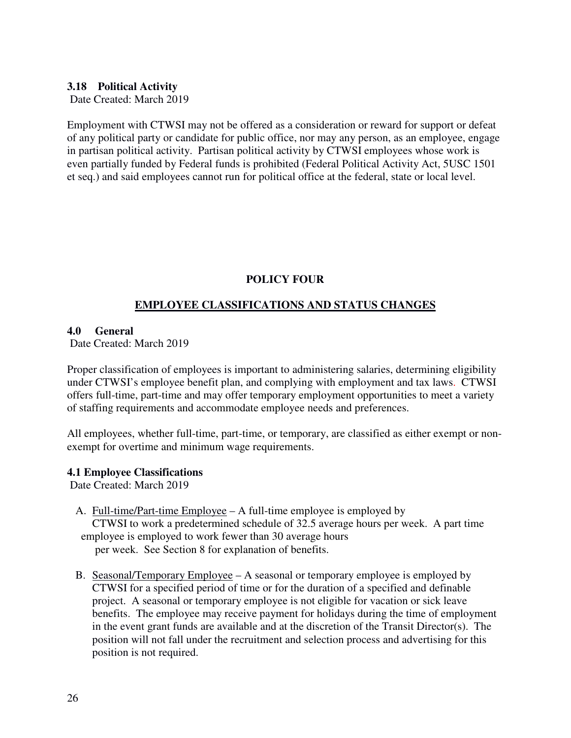### **3.18 Political Activity**

Date Created: March 2019

Employment with CTWSI may not be offered as a consideration or reward for support or defeat of any political party or candidate for public office, nor may any person, as an employee, engage in partisan political activity. Partisan political activity by CTWSI employees whose work is even partially funded by Federal funds is prohibited (Federal Political Activity Act, 5USC 1501 et seq.) and said employees cannot run for political office at the federal, state or local level.

# **POLICY FOUR**

# **EMPLOYEE CLASSIFICATIONS AND STATUS CHANGES**

#### **4.0 General**

Date Created: March 2019

Proper classification of employees is important to administering salaries, determining eligibility under CTWSI's employee benefit plan, and complying with employment and tax laws. CTWSI offers full-time, part-time and may offer temporary employment opportunities to meet a variety of staffing requirements and accommodate employee needs and preferences.

All employees, whether full-time, part-time, or temporary, are classified as either exempt or nonexempt for overtime and minimum wage requirements.

#### **4.1 Employee Classifications**

- A. Full-time/Part-time Employee A full-time employee is employed by CTWSI to work a predetermined schedule of 32.5 average hours per week. A part time employee is employed to work fewer than 30 average hours per week. See Section 8 for explanation of benefits.
- B. Seasonal/Temporary Employee A seasonal or temporary employee is employed by CTWSI for a specified period of time or for the duration of a specified and definable project. A seasonal or temporary employee is not eligible for vacation or sick leave benefits. The employee may receive payment for holidays during the time of employment in the event grant funds are available and at the discretion of the Transit Director(s). The position will not fall under the recruitment and selection process and advertising for this position is not required.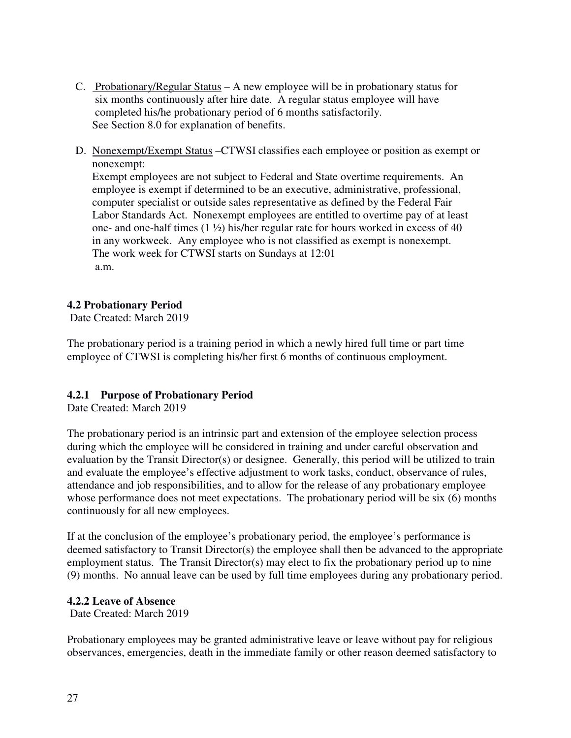- C. Probationary/Regular Status A new employee will be in probationary status for six months continuously after hire date. A regular status employee will have completed his/he probationary period of 6 months satisfactorily. See Section 8.0 for explanation of benefits.
- D. Nonexempt/Exempt Status –CTWSI classifies each employee or position as exempt or nonexempt:

 Exempt employees are not subject to Federal and State overtime requirements. An employee is exempt if determined to be an executive, administrative, professional, computer specialist or outside sales representative as defined by the Federal Fair Labor Standards Act. Nonexempt employees are entitled to overtime pay of at least one- and one-half times (1 ½) his/her regular rate for hours worked in excess of 40 in any workweek. Any employee who is not classified as exempt is nonexempt. The work week for CTWSI starts on Sundays at 12:01 a.m.

# **4.2 Probationary Period**

Date Created: March 2019

The probationary period is a training period in which a newly hired full time or part time employee of CTWSI is completing his/her first 6 months of continuous employment.

# **4.2.1 Purpose of Probationary Period**

Date Created: March 2019

The probationary period is an intrinsic part and extension of the employee selection process during which the employee will be considered in training and under careful observation and evaluation by the Transit Director(s) or designee. Generally, this period will be utilized to train and evaluate the employee's effective adjustment to work tasks, conduct, observance of rules, attendance and job responsibilities, and to allow for the release of any probationary employee whose performance does not meet expectations. The probationary period will be six (6) months continuously for all new employees.

If at the conclusion of the employee's probationary period, the employee's performance is deemed satisfactory to Transit Director(s) the employee shall then be advanced to the appropriate employment status. The Transit Director(s) may elect to fix the probationary period up to nine (9) months. No annual leave can be used by full time employees during any probationary period.

# **4.2.2 Leave of Absence**

Date Created: March 2019

Probationary employees may be granted administrative leave or leave without pay for religious observances, emergencies, death in the immediate family or other reason deemed satisfactory to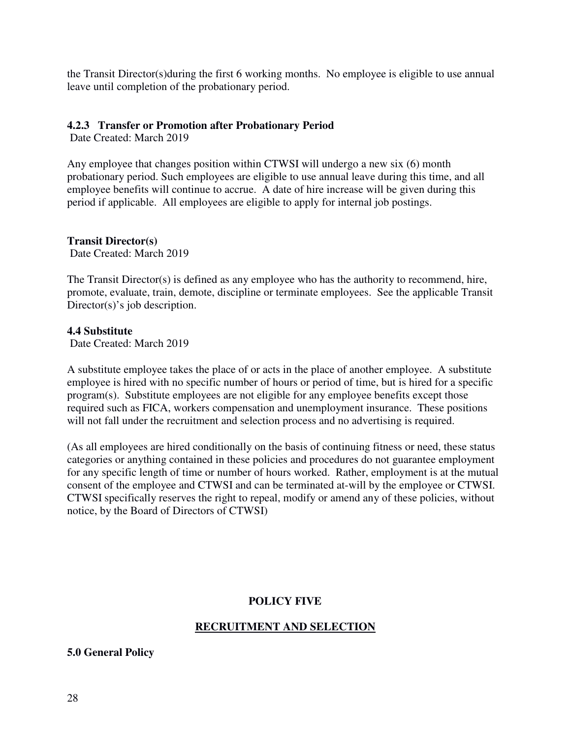the Transit Director(s)during the first 6 working months. No employee is eligible to use annual leave until completion of the probationary period.

# **4.2.3 Transfer or Promotion after Probationary Period**

Date Created: March 2019

Any employee that changes position within CTWSI will undergo a new six (6) month probationary period. Such employees are eligible to use annual leave during this time, and all employee benefits will continue to accrue. A date of hire increase will be given during this period if applicable. All employees are eligible to apply for internal job postings.

# **Transit Director(s)**

Date Created: March 2019

The Transit Director(s) is defined as any employee who has the authority to recommend, hire, promote, evaluate, train, demote, discipline or terminate employees. See the applicable Transit Director(s)'s job description.

#### **4.4 Substitute**

Date Created: March 2019

A substitute employee takes the place of or acts in the place of another employee. A substitute employee is hired with no specific number of hours or period of time, but is hired for a specific program(s). Substitute employees are not eligible for any employee benefits except those required such as FICA, workers compensation and unemployment insurance. These positions will not fall under the recruitment and selection process and no advertising is required.

(As all employees are hired conditionally on the basis of continuing fitness or need, these status categories or anything contained in these policies and procedures do not guarantee employment for any specific length of time or number of hours worked. Rather, employment is at the mutual consent of the employee and CTWSI and can be terminated at-will by the employee or CTWSI. CTWSI specifically reserves the right to repeal, modify or amend any of these policies, without notice, by the Board of Directors of CTWSI)

# **POLICY FIVE**

# **RECRUITMENT AND SELECTION**

**5.0 General Policy**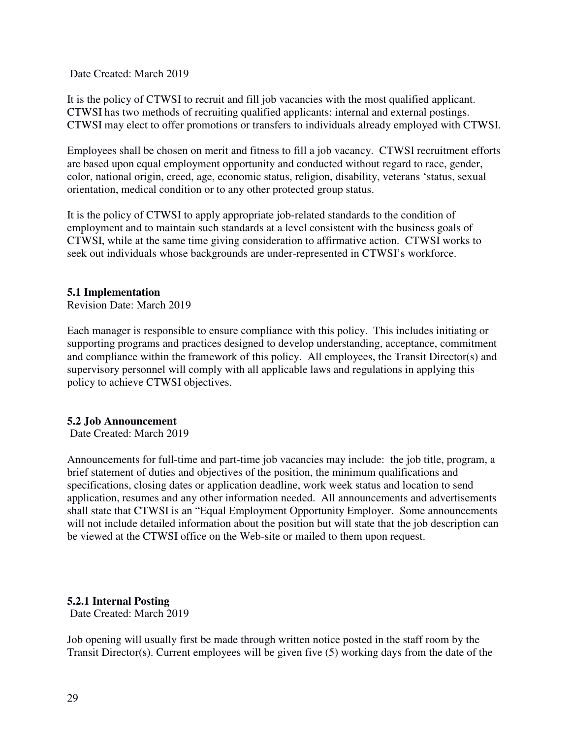Date Created: March 2019

It is the policy of CTWSI to recruit and fill job vacancies with the most qualified applicant. CTWSI has two methods of recruiting qualified applicants: internal and external postings. CTWSI may elect to offer promotions or transfers to individuals already employed with CTWSI.

Employees shall be chosen on merit and fitness to fill a job vacancy. CTWSI recruitment efforts are based upon equal employment opportunity and conducted without regard to race, gender, color, national origin, creed, age, economic status, religion, disability, veterans 'status, sexual orientation, medical condition or to any other protected group status.

It is the policy of CTWSI to apply appropriate job-related standards to the condition of employment and to maintain such standards at a level consistent with the business goals of CTWSI, while at the same time giving consideration to affirmative action. CTWSI works to seek out individuals whose backgrounds are under-represented in CTWSI's workforce.

#### **5.1 Implementation**

Revision Date: March 2019

Each manager is responsible to ensure compliance with this policy. This includes initiating or supporting programs and practices designed to develop understanding, acceptance, commitment and compliance within the framework of this policy. All employees, the Transit Director(s) and supervisory personnel will comply with all applicable laws and regulations in applying this policy to achieve CTWSI objectives.

#### **5.2 Job Announcement**

Date Created: March 2019

Announcements for full-time and part-time job vacancies may include: the job title, program, a brief statement of duties and objectives of the position, the minimum qualifications and specifications, closing dates or application deadline, work week status and location to send application, resumes and any other information needed. All announcements and advertisements shall state that CTWSI is an "Equal Employment Opportunity Employer. Some announcements will not include detailed information about the position but will state that the job description can be viewed at the CTWSI office on the Web-site or mailed to them upon request.

#### **5.2.1 Internal Posting**

Date Created: March 2019

Job opening will usually first be made through written notice posted in the staff room by the Transit Director(s). Current employees will be given five (5) working days from the date of the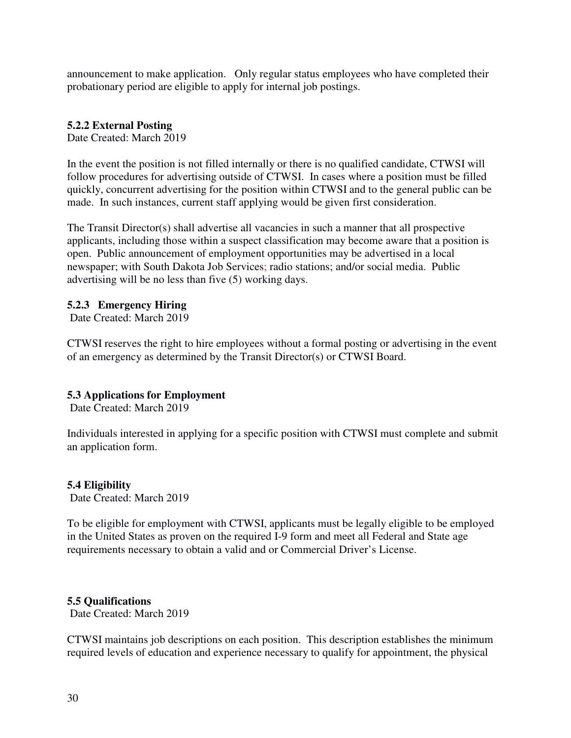announcement to make application. Only regular status employees who have completed their probationary period are eligible to apply for internal job postings.

# **5.2.2 External Posting**

Date Created: March 2019

In the event the position is not filled internally or there is no qualified candidate, CTWSI will follow procedures for advertising outside of CTWSI. In cases where a position must be filled quickly, concurrent advertising for the position within CTWSI and to the general public can be made. In such instances, current staff applying would be given first consideration.

The Transit Director(s) shall advertise all vacancies in such a manner that all prospective applicants, including those within a suspect classification may become aware that a position is open. Public announcement of employment opportunities may be advertised in a local newspaper; with South Dakota Job Services; radio stations; and/or social media. Public advertising will be no less than five (5) working days.

# **5.2.3 Emergency Hiring**

Date Created: March 2019

CTWSI reserves the right to hire employees without a formal posting or advertising in the event of an emergency as determined by the Transit Director(s) or CTWSI Board.

# **5.3 Applications for Employment**

Date Created: March 2019

Individuals interested in applying for a specific position with CTWSI must complete and submit an application form.

# **5.4 Eligibility**

Date Created: March 2019

To be eligible for employment with CTWSI, applicants must be legally eligible to be employed in the United States as proven on the required I-9 form and meet all Federal and State age requirements necessary to obtain a valid and or Commercial Driver's License.

# **5.5 Qualifications**

Date Created: March 2019

CTWSI maintains job descriptions on each position. This description establishes the minimum required levels of education and experience necessary to qualify for appointment, the physical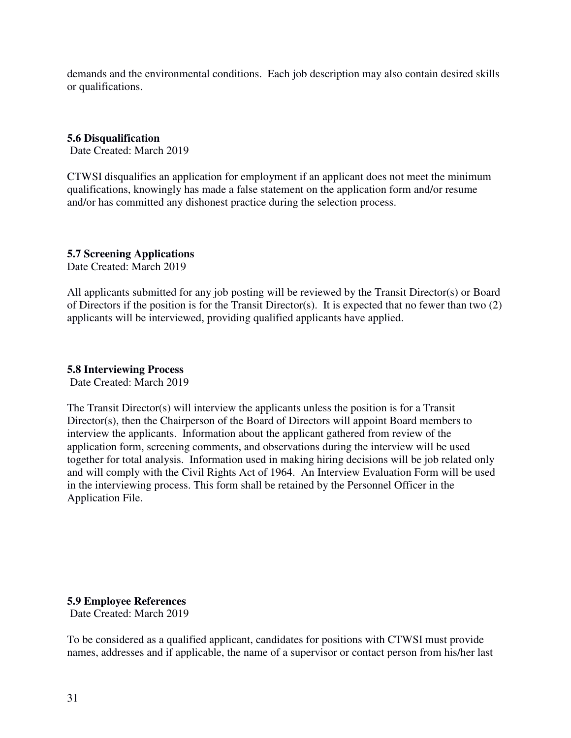demands and the environmental conditions. Each job description may also contain desired skills or qualifications.

# **5.6 Disqualification**

Date Created: March 2019

CTWSI disqualifies an application for employment if an applicant does not meet the minimum qualifications, knowingly has made a false statement on the application form and/or resume and/or has committed any dishonest practice during the selection process.

# **5.7 Screening Applications**

Date Created: March 2019

All applicants submitted for any job posting will be reviewed by the Transit Director(s) or Board of Directors if the position is for the Transit Director(s). It is expected that no fewer than two (2) applicants will be interviewed, providing qualified applicants have applied.

# **5.8 Interviewing Process**

Date Created: March 2019

The Transit Director(s) will interview the applicants unless the position is for a Transit Director(s), then the Chairperson of the Board of Directors will appoint Board members to interview the applicants. Information about the applicant gathered from review of the application form, screening comments, and observations during the interview will be used together for total analysis. Information used in making hiring decisions will be job related only and will comply with the Civil Rights Act of 1964. An Interview Evaluation Form will be used in the interviewing process. This form shall be retained by the Personnel Officer in the Application File.

**5.9 Employee References**  Date Created: March 2019

To be considered as a qualified applicant, candidates for positions with CTWSI must provide names, addresses and if applicable, the name of a supervisor or contact person from his/her last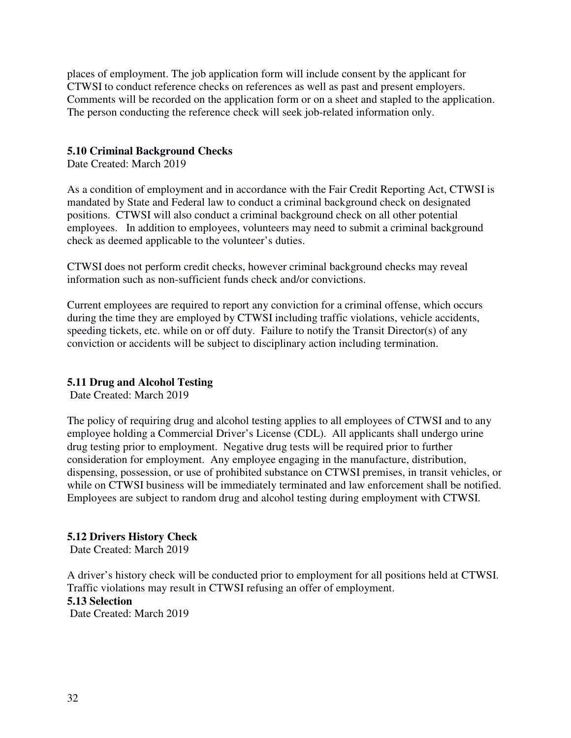places of employment. The job application form will include consent by the applicant for CTWSI to conduct reference checks on references as well as past and present employers. Comments will be recorded on the application form or on a sheet and stapled to the application. The person conducting the reference check will seek job-related information only.

# **5.10 Criminal Background Checks**

Date Created: March 2019

As a condition of employment and in accordance with the Fair Credit Reporting Act, CTWSI is mandated by State and Federal law to conduct a criminal background check on designated positions. CTWSI will also conduct a criminal background check on all other potential employees. In addition to employees, volunteers may need to submit a criminal background check as deemed applicable to the volunteer's duties.

CTWSI does not perform credit checks, however criminal background checks may reveal information such as non-sufficient funds check and/or convictions.

Current employees are required to report any conviction for a criminal offense, which occurs during the time they are employed by CTWSI including traffic violations, vehicle accidents, speeding tickets, etc. while on or off duty. Failure to notify the Transit Director(s) of any conviction or accidents will be subject to disciplinary action including termination.

# **5.11 Drug and Alcohol Testing**

Date Created: March 2019

The policy of requiring drug and alcohol testing applies to all employees of CTWSI and to any employee holding a Commercial Driver's License (CDL). All applicants shall undergo urine drug testing prior to employment. Negative drug tests will be required prior to further consideration for employment. Any employee engaging in the manufacture, distribution, dispensing, possession, or use of prohibited substance on CTWSI premises, in transit vehicles, or while on CTWSI business will be immediately terminated and law enforcement shall be notified. Employees are subject to random drug and alcohol testing during employment with CTWSI.

#### **5.12 Drivers History Check**

Date Created: March 2019

A driver's history check will be conducted prior to employment for all positions held at CTWSI. Traffic violations may result in CTWSI refusing an offer of employment. **5.13 Selection**  Date Created: March 2019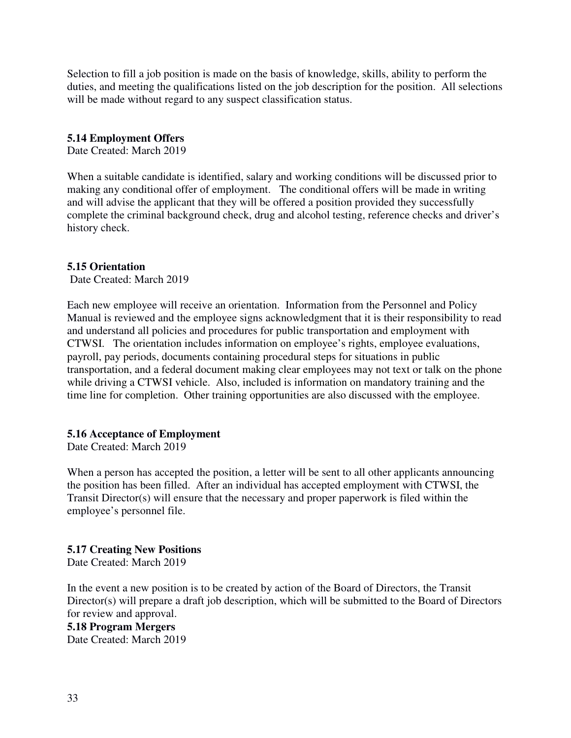Selection to fill a job position is made on the basis of knowledge, skills, ability to perform the duties, and meeting the qualifications listed on the job description for the position. All selections will be made without regard to any suspect classification status.

#### **5.14 Employment Offers**

Date Created: March 2019

When a suitable candidate is identified, salary and working conditions will be discussed prior to making any conditional offer of employment. The conditional offers will be made in writing and will advise the applicant that they will be offered a position provided they successfully complete the criminal background check, drug and alcohol testing, reference checks and driver's history check.

#### **5.15 Orientation**

Date Created: March 2019

Each new employee will receive an orientation. Information from the Personnel and Policy Manual is reviewed and the employee signs acknowledgment that it is their responsibility to read and understand all policies and procedures for public transportation and employment with CTWSI. The orientation includes information on employee's rights, employee evaluations, payroll, pay periods, documents containing procedural steps for situations in public transportation, and a federal document making clear employees may not text or talk on the phone while driving a CTWSI vehicle. Also, included is information on mandatory training and the time line for completion. Other training opportunities are also discussed with the employee.

#### **5.16 Acceptance of Employment**

Date Created: March 2019

When a person has accepted the position, a letter will be sent to all other applicants announcing the position has been filled. After an individual has accepted employment with CTWSI, the Transit Director(s) will ensure that the necessary and proper paperwork is filed within the employee's personnel file.

#### **5.17 Creating New Positions**

Date Created: March 2019

In the event a new position is to be created by action of the Board of Directors, the Transit Director(s) will prepare a draft job description, which will be submitted to the Board of Directors for review and approval.

#### **5.18 Program Mergers**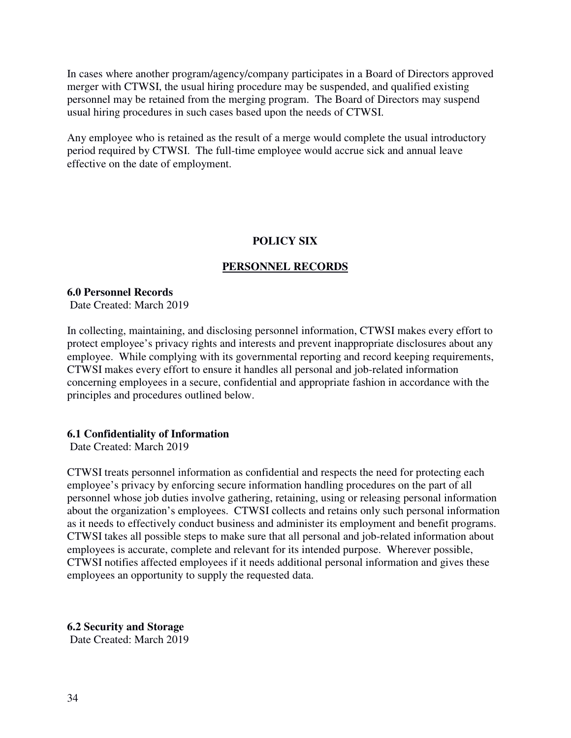In cases where another program/agency/company participates in a Board of Directors approved merger with CTWSI, the usual hiring procedure may be suspended, and qualified existing personnel may be retained from the merging program. The Board of Directors may suspend usual hiring procedures in such cases based upon the needs of CTWSI.

Any employee who is retained as the result of a merge would complete the usual introductory period required by CTWSI. The full-time employee would accrue sick and annual leave effective on the date of employment.

# **POLICY SIX**

# **PERSONNEL RECORDS**

# **6.0 Personnel Records**

Date Created: March 2019

In collecting, maintaining, and disclosing personnel information, CTWSI makes every effort to protect employee's privacy rights and interests and prevent inappropriate disclosures about any employee. While complying with its governmental reporting and record keeping requirements, CTWSI makes every effort to ensure it handles all personal and job-related information concerning employees in a secure, confidential and appropriate fashion in accordance with the principles and procedures outlined below.

# **6.1 Confidentiality of Information**

Date Created: March 2019

CTWSI treats personnel information as confidential and respects the need for protecting each employee's privacy by enforcing secure information handling procedures on the part of all personnel whose job duties involve gathering, retaining, using or releasing personal information about the organization's employees. CTWSI collects and retains only such personal information as it needs to effectively conduct business and administer its employment and benefit programs. CTWSI takes all possible steps to make sure that all personal and job-related information about employees is accurate, complete and relevant for its intended purpose. Wherever possible, CTWSI notifies affected employees if it needs additional personal information and gives these employees an opportunity to supply the requested data.

**6.2 Security and Storage**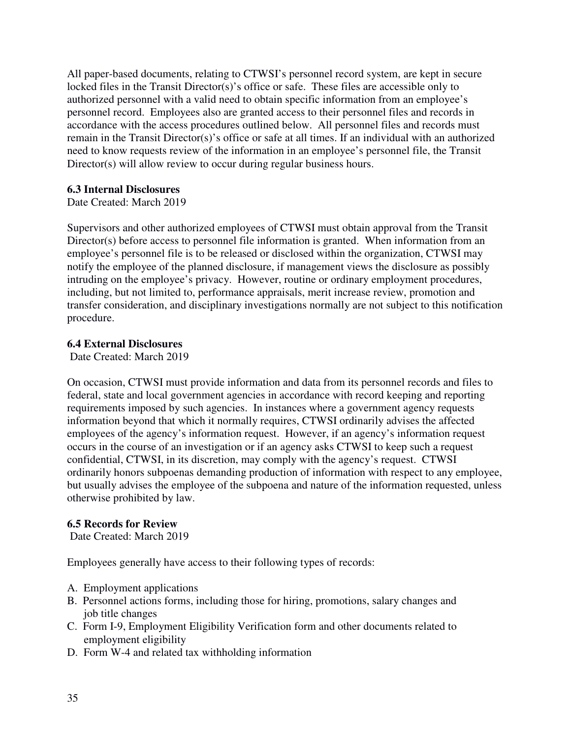All paper-based documents, relating to CTWSI's personnel record system, are kept in secure locked files in the Transit Director(s)'s office or safe. These files are accessible only to authorized personnel with a valid need to obtain specific information from an employee's personnel record. Employees also are granted access to their personnel files and records in accordance with the access procedures outlined below. All personnel files and records must remain in the Transit Director(s)'s office or safe at all times. If an individual with an authorized need to know requests review of the information in an employee's personnel file, the Transit Director(s) will allow review to occur during regular business hours.

# **6.3 Internal Disclosures**

Date Created: March 2019

Supervisors and other authorized employees of CTWSI must obtain approval from the Transit Director(s) before access to personnel file information is granted. When information from an employee's personnel file is to be released or disclosed within the organization, CTWSI may notify the employee of the planned disclosure, if management views the disclosure as possibly intruding on the employee's privacy. However, routine or ordinary employment procedures, including, but not limited to, performance appraisals, merit increase review, promotion and transfer consideration, and disciplinary investigations normally are not subject to this notification procedure.

# **6.4 External Disclosures**

Date Created: March 2019

On occasion, CTWSI must provide information and data from its personnel records and files to federal, state and local government agencies in accordance with record keeping and reporting requirements imposed by such agencies. In instances where a government agency requests information beyond that which it normally requires, CTWSI ordinarily advises the affected employees of the agency's information request. However, if an agency's information request occurs in the course of an investigation or if an agency asks CTWSI to keep such a request confidential, CTWSI, in its discretion, may comply with the agency's request. CTWSI ordinarily honors subpoenas demanding production of information with respect to any employee, but usually advises the employee of the subpoena and nature of the information requested, unless otherwise prohibited by law.

#### **6.5 Records for Review**

Date Created: March 2019

Employees generally have access to their following types of records:

- A. Employment applications
- B. Personnel actions forms, including those for hiring, promotions, salary changes and job title changes
- C. Form I-9, Employment Eligibility Verification form and other documents related to employment eligibility
- D. Form W-4 and related tax withholding information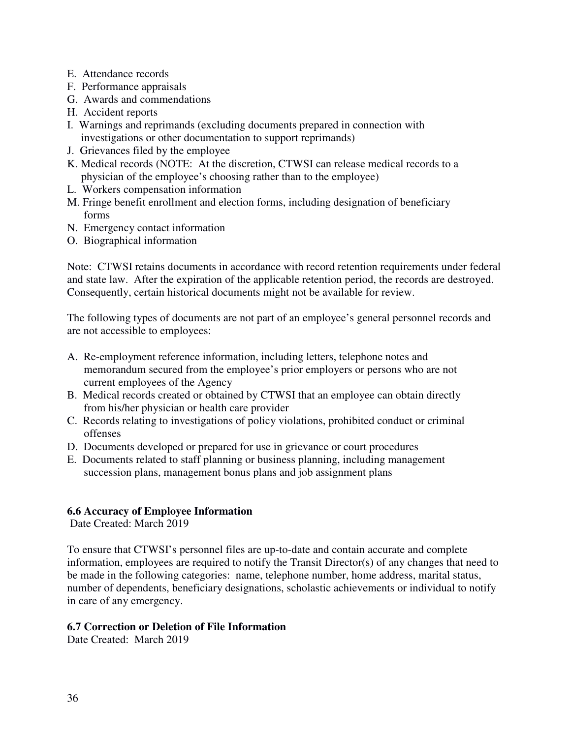- E. Attendance records
- F. Performance appraisals
- G. Awards and commendations
- H. Accident reports
- I. Warnings and reprimands (excluding documents prepared in connection with investigations or other documentation to support reprimands)
- J. Grievances filed by the employee
- K. Medical records (NOTE: At the discretion, CTWSI can release medical records to a physician of the employee's choosing rather than to the employee)
- L. Workers compensation information
- M. Fringe benefit enrollment and election forms, including designation of beneficiary forms
- N. Emergency contact information
- O. Biographical information

Note: CTWSI retains documents in accordance with record retention requirements under federal and state law. After the expiration of the applicable retention period, the records are destroyed. Consequently, certain historical documents might not be available for review.

The following types of documents are not part of an employee's general personnel records and are not accessible to employees:

- A. Re-employment reference information, including letters, telephone notes and memorandum secured from the employee's prior employers or persons who are not current employees of the Agency
- B. Medical records created or obtained by CTWSI that an employee can obtain directly from his/her physician or health care provider
- C. Records relating to investigations of policy violations, prohibited conduct or criminal offenses
- D. Documents developed or prepared for use in grievance or court procedures
- E. Documents related to staff planning or business planning, including management succession plans, management bonus plans and job assignment plans

#### **6.6 Accuracy of Employee Information**

Date Created: March 2019

To ensure that CTWSI's personnel files are up-to-date and contain accurate and complete information, employees are required to notify the Transit Director(s) of any changes that need to be made in the following categories: name, telephone number, home address, marital status, number of dependents, beneficiary designations, scholastic achievements or individual to notify in care of any emergency.

# **6.7 Correction or Deletion of File Information**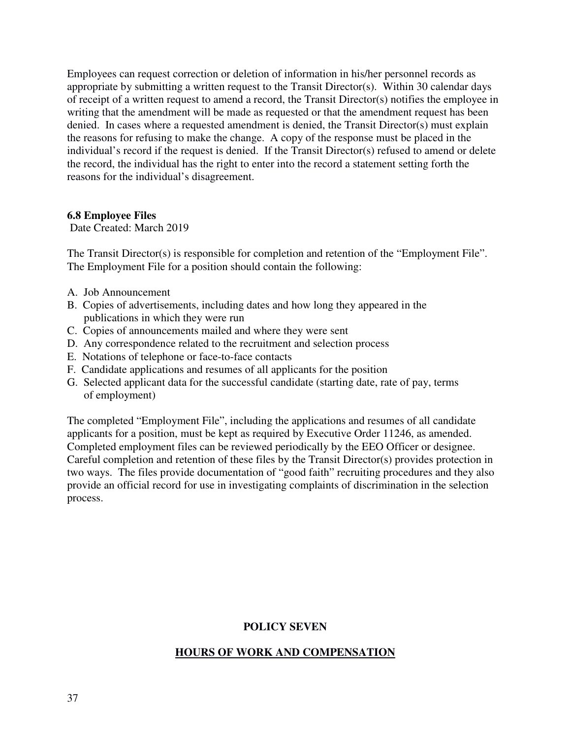Employees can request correction or deletion of information in his/her personnel records as appropriate by submitting a written request to the Transit Director(s). Within 30 calendar days of receipt of a written request to amend a record, the Transit Director(s) notifies the employee in writing that the amendment will be made as requested or that the amendment request has been denied. In cases where a requested amendment is denied, the Transit Director(s) must explain the reasons for refusing to make the change. A copy of the response must be placed in the individual's record if the request is denied. If the Transit Director(s) refused to amend or delete the record, the individual has the right to enter into the record a statement setting forth the reasons for the individual's disagreement.

# **6.8 Employee Files**

Date Created: March 2019

The Transit Director(s) is responsible for completion and retention of the "Employment File". The Employment File for a position should contain the following:

- A. Job Announcement
- B. Copies of advertisements, including dates and how long they appeared in the publications in which they were run
- C. Copies of announcements mailed and where they were sent
- D. Any correspondence related to the recruitment and selection process
- E. Notations of telephone or face-to-face contacts
- F. Candidate applications and resumes of all applicants for the position
- G. Selected applicant data for the successful candidate (starting date, rate of pay, terms of employment)

The completed "Employment File", including the applications and resumes of all candidate applicants for a position, must be kept as required by Executive Order 11246, as amended. Completed employment files can be reviewed periodically by the EEO Officer or designee. Careful completion and retention of these files by the Transit Director(s) provides protection in two ways. The files provide documentation of "good faith" recruiting procedures and they also provide an official record for use in investigating complaints of discrimination in the selection process.

# **POLICY SEVEN**

# **HOURS OF WORK AND COMPENSATION**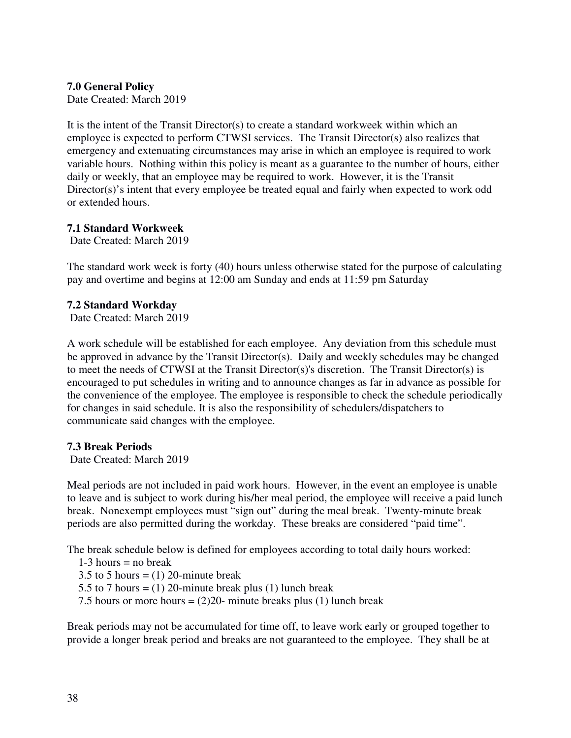# **7.0 General Policy**

Date Created: March 2019

It is the intent of the Transit Director(s) to create a standard workweek within which an employee is expected to perform CTWSI services. The Transit Director(s) also realizes that emergency and extenuating circumstances may arise in which an employee is required to work variable hours. Nothing within this policy is meant as a guarantee to the number of hours, either daily or weekly, that an employee may be required to work. However, it is the Transit Director(s)'s intent that every employee be treated equal and fairly when expected to work odd or extended hours.

# **7.1 Standard Workweek**

Date Created: March 2019

The standard work week is forty (40) hours unless otherwise stated for the purpose of calculating pay and overtime and begins at 12:00 am Sunday and ends at 11:59 pm Saturday

#### **7.2 Standard Workday**

Date Created: March 2019

A work schedule will be established for each employee. Any deviation from this schedule must be approved in advance by the Transit Director(s). Daily and weekly schedules may be changed to meet the needs of CTWSI at the Transit Director(s)'s discretion. The Transit Director(s) is encouraged to put schedules in writing and to announce changes as far in advance as possible for the convenience of the employee. The employee is responsible to check the schedule periodically for changes in said schedule. It is also the responsibility of schedulers/dispatchers to communicate said changes with the employee.

#### **7.3 Break Periods**

Date Created: March 2019

Meal periods are not included in paid work hours. However, in the event an employee is unable to leave and is subject to work during his/her meal period, the employee will receive a paid lunch break. Nonexempt employees must "sign out" during the meal break. Twenty-minute break periods are also permitted during the workday. These breaks are considered "paid time".

The break schedule below is defined for employees according to total daily hours worked:

- $1-3$  hours = no break
- 3.5 to 5 hours =  $(1)$  20-minute break
- 5.5 to 7 hours =  $(1)$  20-minute break plus  $(1)$  lunch break
- 7.5 hours or more hours  $= (2)20$  minute breaks plus (1) lunch break

Break periods may not be accumulated for time off, to leave work early or grouped together to provide a longer break period and breaks are not guaranteed to the employee. They shall be at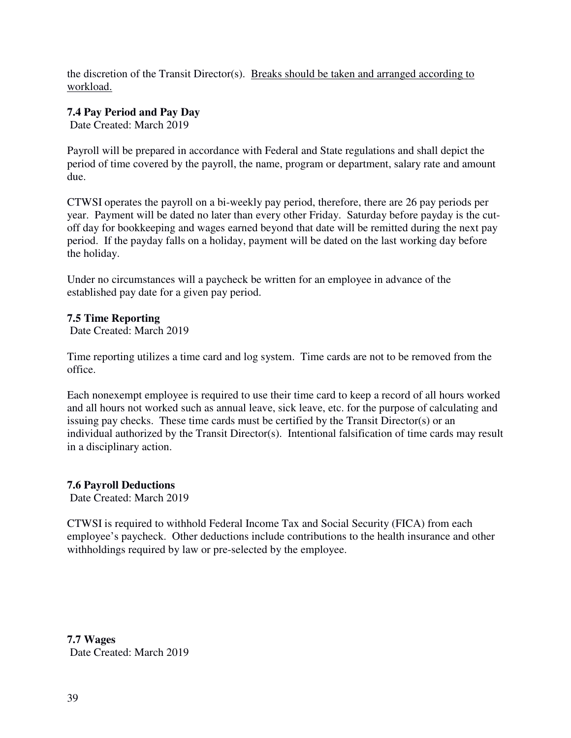the discretion of the Transit Director(s). Breaks should be taken and arranged according to workload.

# **7.4 Pay Period and Pay Day**

Date Created: March 2019

Payroll will be prepared in accordance with Federal and State regulations and shall depict the period of time covered by the payroll, the name, program or department, salary rate and amount due.

CTWSI operates the payroll on a bi-weekly pay period, therefore, there are 26 pay periods per year. Payment will be dated no later than every other Friday. Saturday before payday is the cutoff day for bookkeeping and wages earned beyond that date will be remitted during the next pay period. If the payday falls on a holiday, payment will be dated on the last working day before the holiday.

Under no circumstances will a paycheck be written for an employee in advance of the established pay date for a given pay period.

# **7.5 Time Reporting**

Date Created: March 2019

Time reporting utilizes a time card and log system. Time cards are not to be removed from the office.

Each nonexempt employee is required to use their time card to keep a record of all hours worked and all hours not worked such as annual leave, sick leave, etc. for the purpose of calculating and issuing pay checks. These time cards must be certified by the Transit Director(s) or an individual authorized by the Transit Director(s). Intentional falsification of time cards may result in a disciplinary action.

# **7.6 Payroll Deductions**

Date Created: March 2019

CTWSI is required to withhold Federal Income Tax and Social Security (FICA) from each employee's paycheck. Other deductions include contributions to the health insurance and other withholdings required by law or pre-selected by the employee.

**7.7 Wages**  Date Created: March 2019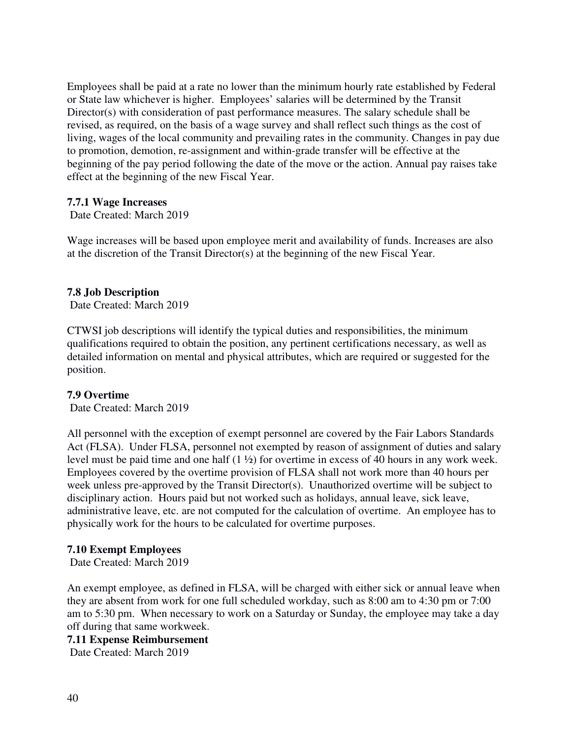Employees shall be paid at a rate no lower than the minimum hourly rate established by Federal or State law whichever is higher. Employees' salaries will be determined by the Transit Director(s) with consideration of past performance measures. The salary schedule shall be revised, as required, on the basis of a wage survey and shall reflect such things as the cost of living, wages of the local community and prevailing rates in the community. Changes in pay due to promotion, demotion, re-assignment and within-grade transfer will be effective at the beginning of the pay period following the date of the move or the action. Annual pay raises take effect at the beginning of the new Fiscal Year.

#### **7.7.1 Wage Increases**

Date Created: March 2019

Wage increases will be based upon employee merit and availability of funds. Increases are also at the discretion of the Transit Director(s) at the beginning of the new Fiscal Year.

#### **7.8 Job Description**

Date Created: March 2019

CTWSI job descriptions will identify the typical duties and responsibilities, the minimum qualifications required to obtain the position, any pertinent certifications necessary, as well as detailed information on mental and physical attributes, which are required or suggested for the position.

#### **7.9 Overtime**

Date Created: March 2019

All personnel with the exception of exempt personnel are covered by the Fair Labors Standards Act (FLSA). Under FLSA, personnel not exempted by reason of assignment of duties and salary level must be paid time and one half (1 ½) for overtime in excess of 40 hours in any work week. Employees covered by the overtime provision of FLSA shall not work more than 40 hours per week unless pre-approved by the Transit Director(s). Unauthorized overtime will be subject to disciplinary action. Hours paid but not worked such as holidays, annual leave, sick leave, administrative leave, etc. are not computed for the calculation of overtime. An employee has to physically work for the hours to be calculated for overtime purposes.

#### **7.10 Exempt Employees**

Date Created: March 2019

An exempt employee, as defined in FLSA, will be charged with either sick or annual leave when they are absent from work for one full scheduled workday, such as 8:00 am to 4:30 pm or 7:00 am to 5:30 pm. When necessary to work on a Saturday or Sunday, the employee may take a day off during that same workweek.

**7.11 Expense Reimbursement**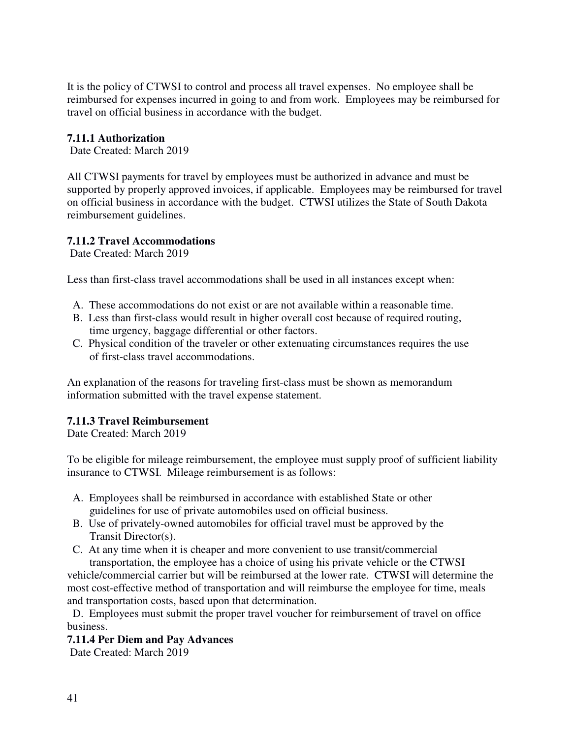It is the policy of CTWSI to control and process all travel expenses. No employee shall be reimbursed for expenses incurred in going to and from work. Employees may be reimbursed for travel on official business in accordance with the budget.

# **7.11.1 Authorization**

Date Created: March 2019

All CTWSI payments for travel by employees must be authorized in advance and must be supported by properly approved invoices, if applicable. Employees may be reimbursed for travel on official business in accordance with the budget. CTWSI utilizes the State of South Dakota reimbursement guidelines.

# **7.11.2 Travel Accommodations**

Date Created: March 2019

Less than first-class travel accommodations shall be used in all instances except when:

- A. These accommodations do not exist or are not available within a reasonable time.
- B. Less than first-class would result in higher overall cost because of required routing, time urgency, baggage differential or other factors.
- C. Physical condition of the traveler or other extenuating circumstances requires the use of first-class travel accommodations.

An explanation of the reasons for traveling first-class must be shown as memorandum information submitted with the travel expense statement.

# **7.11.3 Travel Reimbursement**

Date Created: March 2019

To be eligible for mileage reimbursement, the employee must supply proof of sufficient liability insurance to CTWSI. Mileage reimbursement is as follows:

- A. Employees shall be reimbursed in accordance with established State or other guidelines for use of private automobiles used on official business.
- B. Use of privately-owned automobiles for official travel must be approved by the Transit Director(s).
- C. At any time when it is cheaper and more convenient to use transit/commercial

 transportation, the employee has a choice of using his private vehicle or the CTWSI vehicle/commercial carrier but will be reimbursed at the lower rate. CTWSI will determine the most cost-effective method of transportation and will reimburse the employee for time, meals and transportation costs, based upon that determination.

 D. Employees must submit the proper travel voucher for reimbursement of travel on office business.

# **7.11.4 Per Diem and Pay Advances**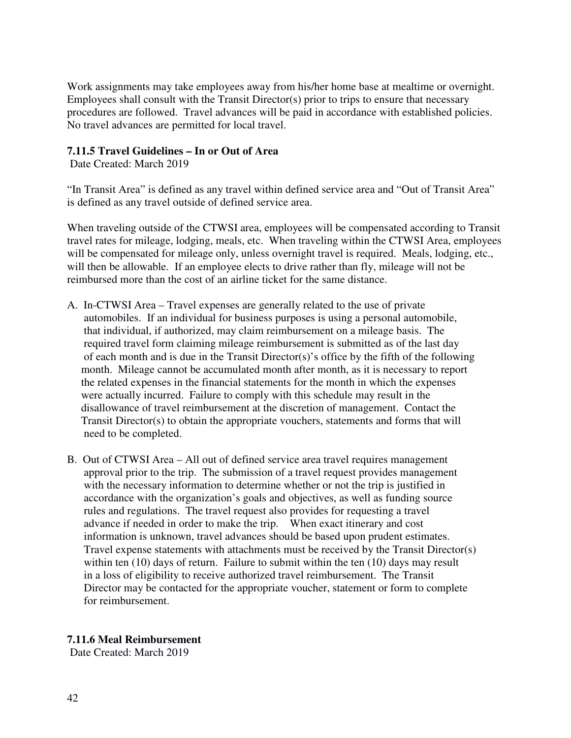Work assignments may take employees away from his/her home base at mealtime or overnight. Employees shall consult with the Transit Director(s) prior to trips to ensure that necessary procedures are followed. Travel advances will be paid in accordance with established policies. No travel advances are permitted for local travel.

# **7.11.5 Travel Guidelines – In or Out of Area**

Date Created: March 2019

"In Transit Area" is defined as any travel within defined service area and "Out of Transit Area" is defined as any travel outside of defined service area.

When traveling outside of the CTWSI area, employees will be compensated according to Transit travel rates for mileage, lodging, meals, etc. When traveling within the CTWSI Area, employees will be compensated for mileage only, unless overnight travel is required. Meals, lodging, etc., will then be allowable. If an employee elects to drive rather than fly, mileage will not be reimbursed more than the cost of an airline ticket for the same distance.

- A. In-CTWSI Area Travel expenses are generally related to the use of private automobiles. If an individual for business purposes is using a personal automobile, that individual, if authorized, may claim reimbursement on a mileage basis. The required travel form claiming mileage reimbursement is submitted as of the last day of each month and is due in the Transit Director(s)'s office by the fifth of the following month. Mileage cannot be accumulated month after month, as it is necessary to report the related expenses in the financial statements for the month in which the expenses were actually incurred. Failure to comply with this schedule may result in the disallowance of travel reimbursement at the discretion of management. Contact the Transit Director(s) to obtain the appropriate vouchers, statements and forms that will need to be completed.
- B. Out of CTWSI Area All out of defined service area travel requires management approval prior to the trip. The submission of a travel request provides management with the necessary information to determine whether or not the trip is justified in accordance with the organization's goals and objectives, as well as funding source rules and regulations. The travel request also provides for requesting a travel advance if needed in order to make the trip. When exact itinerary and cost information is unknown, travel advances should be based upon prudent estimates. Travel expense statements with attachments must be received by the Transit Director(s) within ten (10) days of return. Failure to submit within the ten (10) days may result in a loss of eligibility to receive authorized travel reimbursement. The Transit Director may be contacted for the appropriate voucher, statement or form to complete for reimbursement.

#### **7.11.6 Meal Reimbursement**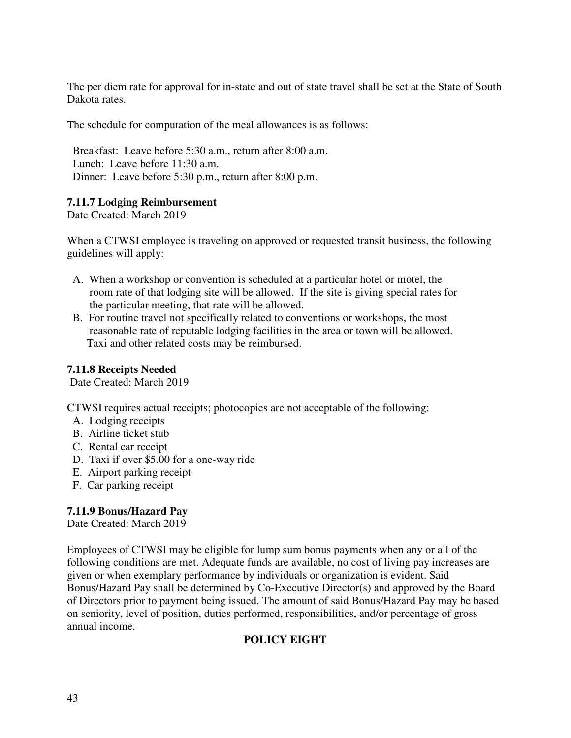The per diem rate for approval for in-state and out of state travel shall be set at the State of South Dakota rates.

The schedule for computation of the meal allowances is as follows:

 Breakfast: Leave before 5:30 a.m., return after 8:00 a.m. Lunch: Leave before 11:30 a.m. Dinner: Leave before 5:30 p.m., return after 8:00 p.m.

# **7.11.7 Lodging Reimbursement**

Date Created: March 2019

When a CTWSI employee is traveling on approved or requested transit business, the following guidelines will apply:

- A. When a workshop or convention is scheduled at a particular hotel or motel, the room rate of that lodging site will be allowed. If the site is giving special rates for the particular meeting, that rate will be allowed.
- B. For routine travel not specifically related to conventions or workshops, the most reasonable rate of reputable lodging facilities in the area or town will be allowed. Taxi and other related costs may be reimbursed.

# **7.11.8 Receipts Needed**

Date Created: March 2019

CTWSI requires actual receipts; photocopies are not acceptable of the following:

- A. Lodging receipts
- B. Airline ticket stub
- C. Rental car receipt
- D. Taxi if over \$5.00 for a one-way ride
- E. Airport parking receipt
- F. Car parking receipt

# **7.11.9 Bonus/Hazard Pay**

Date Created: March 2019

Employees of CTWSI may be eligible for lump sum bonus payments when any or all of the following conditions are met. Adequate funds are available, no cost of living pay increases are given or when exemplary performance by individuals or organization is evident. Said Bonus/Hazard Pay shall be determined by Co-Executive Director(s) and approved by the Board of Directors prior to payment being issued. The amount of said Bonus/Hazard Pay may be based on seniority, level of position, duties performed, responsibilities, and/or percentage of gross annual income.

# **POLICY EIGHT**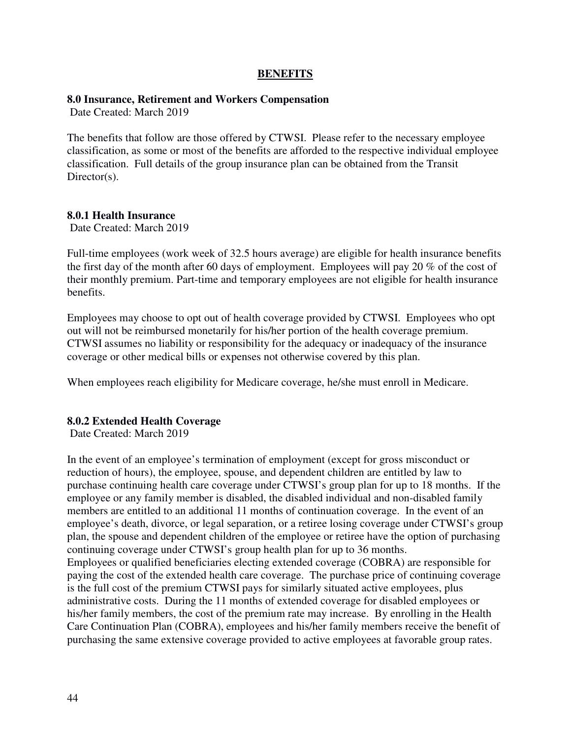#### **BENEFITS**

#### **8.0 Insurance, Retirement and Workers Compensation**

Date Created: March 2019

The benefits that follow are those offered by CTWSI. Please refer to the necessary employee classification, as some or most of the benefits are afforded to the respective individual employee classification. Full details of the group insurance plan can be obtained from the Transit Director(s).

### **8.0.1 Health Insurance**

Date Created: March 2019

Full-time employees (work week of 32.5 hours average) are eligible for health insurance benefits the first day of the month after 60 days of employment. Employees will pay 20 % of the cost of their monthly premium. Part-time and temporary employees are not eligible for health insurance benefits.

Employees may choose to opt out of health coverage provided by CTWSI. Employees who opt out will not be reimbursed monetarily for his/her portion of the health coverage premium. CTWSI assumes no liability or responsibility for the adequacy or inadequacy of the insurance coverage or other medical bills or expenses not otherwise covered by this plan.

When employees reach eligibility for Medicare coverage, he/she must enroll in Medicare.

#### **8.0.2 Extended Health Coverage**

Date Created: March 2019

In the event of an employee's termination of employment (except for gross misconduct or reduction of hours), the employee, spouse, and dependent children are entitled by law to purchase continuing health care coverage under CTWSI's group plan for up to 18 months. If the employee or any family member is disabled, the disabled individual and non-disabled family members are entitled to an additional 11 months of continuation coverage. In the event of an employee's death, divorce, or legal separation, or a retiree losing coverage under CTWSI's group plan, the spouse and dependent children of the employee or retiree have the option of purchasing continuing coverage under CTWSI's group health plan for up to 36 months. Employees or qualified beneficiaries electing extended coverage (COBRA) are responsible for paying the cost of the extended health care coverage. The purchase price of continuing coverage is the full cost of the premium CTWSI pays for similarly situated active employees, plus administrative costs. During the 11 months of extended coverage for disabled employees or his/her family members, the cost of the premium rate may increase. By enrolling in the Health Care Continuation Plan (COBRA), employees and his/her family members receive the benefit of purchasing the same extensive coverage provided to active employees at favorable group rates.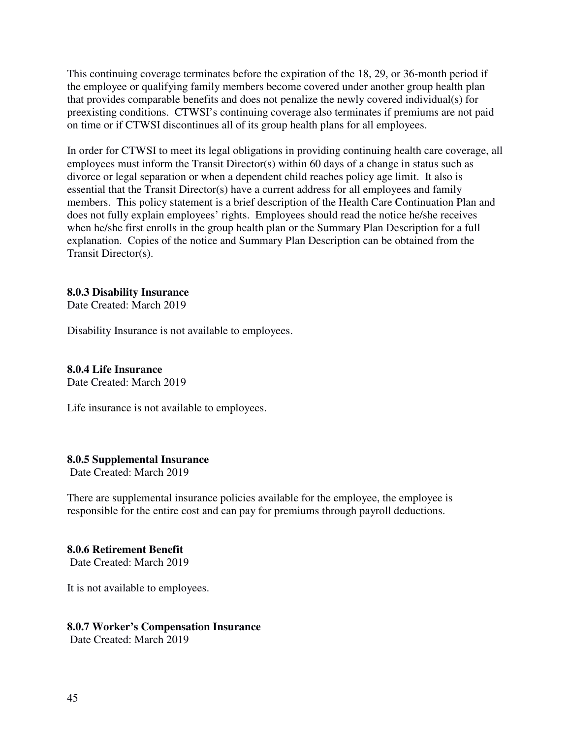This continuing coverage terminates before the expiration of the 18, 29, or 36-month period if the employee or qualifying family members become covered under another group health plan that provides comparable benefits and does not penalize the newly covered individual(s) for preexisting conditions. CTWSI's continuing coverage also terminates if premiums are not paid on time or if CTWSI discontinues all of its group health plans for all employees.

In order for CTWSI to meet its legal obligations in providing continuing health care coverage, all employees must inform the Transit Director(s) within 60 days of a change in status such as divorce or legal separation or when a dependent child reaches policy age limit. It also is essential that the Transit Director(s) have a current address for all employees and family members. This policy statement is a brief description of the Health Care Continuation Plan and does not fully explain employees' rights. Employees should read the notice he/she receives when he/she first enrolls in the group health plan or the Summary Plan Description for a full explanation. Copies of the notice and Summary Plan Description can be obtained from the Transit Director(s).

#### **8.0.3 Disability Insurance**

Date Created: March 2019

Disability Insurance is not available to employees.

#### **8.0.4 Life Insurance**

Date Created: March 2019

Life insurance is not available to employees.

#### **8.0.5 Supplemental Insurance**

Date Created: March 2019

There are supplemental insurance policies available for the employee, the employee is responsible for the entire cost and can pay for premiums through payroll deductions.

#### **8.0.6 Retirement Benefit**

Date Created: March 2019

It is not available to employees.

#### **8.0.7 Worker's Compensation Insurance**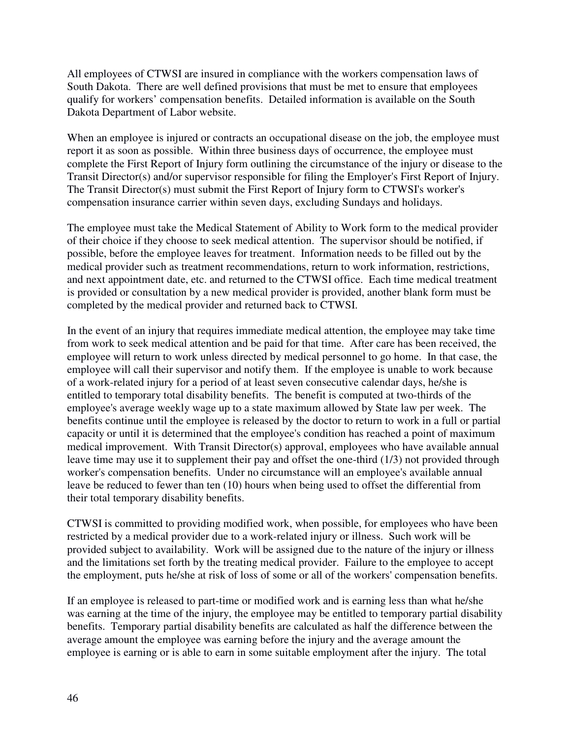All employees of CTWSI are insured in compliance with the workers compensation laws of South Dakota. There are well defined provisions that must be met to ensure that employees qualify for workers' compensation benefits. Detailed information is available on the South Dakota Department of Labor website.

When an employee is injured or contracts an occupational disease on the job, the employee must report it as soon as possible. Within three business days of occurrence, the employee must complete the First Report of Injury form outlining the circumstance of the injury or disease to the Transit Director(s) and/or supervisor responsible for filing the Employer's First Report of Injury. The Transit Director(s) must submit the First Report of Injury form to CTWSI's worker's compensation insurance carrier within seven days, excluding Sundays and holidays.

The employee must take the Medical Statement of Ability to Work form to the medical provider of their choice if they choose to seek medical attention. The supervisor should be notified, if possible, before the employee leaves for treatment. Information needs to be filled out by the medical provider such as treatment recommendations, return to work information, restrictions, and next appointment date, etc. and returned to the CTWSI office. Each time medical treatment is provided or consultation by a new medical provider is provided, another blank form must be completed by the medical provider and returned back to CTWSI.

In the event of an injury that requires immediate medical attention, the employee may take time from work to seek medical attention and be paid for that time. After care has been received, the employee will return to work unless directed by medical personnel to go home. In that case, the employee will call their supervisor and notify them. If the employee is unable to work because of a work-related injury for a period of at least seven consecutive calendar days, he/she is entitled to temporary total disability benefits. The benefit is computed at two-thirds of the employee's average weekly wage up to a state maximum allowed by State law per week. The benefits continue until the employee is released by the doctor to return to work in a full or partial capacity or until it is determined that the employee's condition has reached a point of maximum medical improvement. With Transit Director(s) approval, employees who have available annual leave time may use it to supplement their pay and offset the one-third (1/3) not provided through worker's compensation benefits. Under no circumstance will an employee's available annual leave be reduced to fewer than ten (10) hours when being used to offset the differential from their total temporary disability benefits.

CTWSI is committed to providing modified work, when possible, for employees who have been restricted by a medical provider due to a work-related injury or illness. Such work will be provided subject to availability. Work will be assigned due to the nature of the injury or illness and the limitations set forth by the treating medical provider. Failure to the employee to accept the employment, puts he/she at risk of loss of some or all of the workers' compensation benefits.

If an employee is released to part-time or modified work and is earning less than what he/she was earning at the time of the injury, the employee may be entitled to temporary partial disability benefits. Temporary partial disability benefits are calculated as half the difference between the average amount the employee was earning before the injury and the average amount the employee is earning or is able to earn in some suitable employment after the injury. The total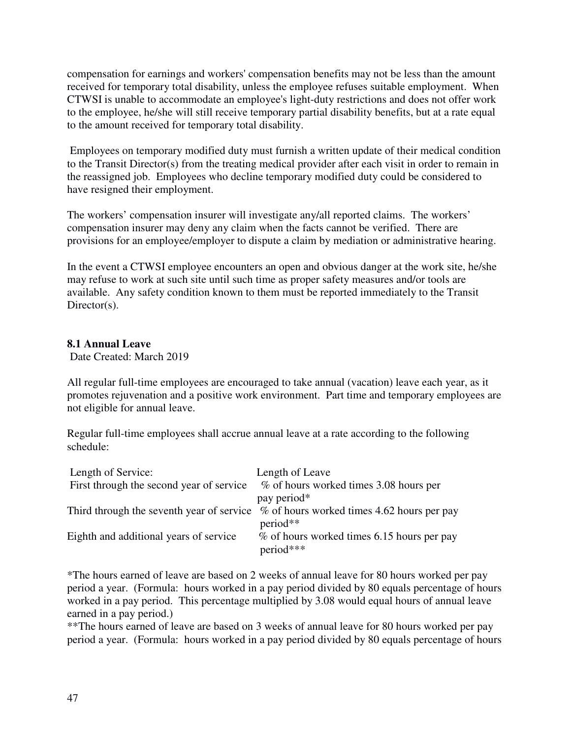compensation for earnings and workers' compensation benefits may not be less than the amount received for temporary total disability, unless the employee refuses suitable employment. When CTWSI is unable to accommodate an employee's light-duty restrictions and does not offer work to the employee, he/she will still receive temporary partial disability benefits, but at a rate equal to the amount received for temporary total disability.

 Employees on temporary modified duty must furnish a written update of their medical condition to the Transit Director(s) from the treating medical provider after each visit in order to remain in the reassigned job. Employees who decline temporary modified duty could be considered to have resigned their employment.

The workers' compensation insurer will investigate any/all reported claims. The workers' compensation insurer may deny any claim when the facts cannot be verified. There are provisions for an employee/employer to dispute a claim by mediation or administrative hearing.

In the event a CTWSI employee encounters an open and obvious danger at the work site, he/she may refuse to work at such site until such time as proper safety measures and/or tools are available. Any safety condition known to them must be reported immediately to the Transit Director(s).

# **8.1 Annual Leave**

Date Created: March 2019

All regular full-time employees are encouraged to take annual (vacation) leave each year, as it promotes rejuvenation and a positive work environment. Part time and temporary employees are not eligible for annual leave.

Regular full-time employees shall accrue annual leave at a rate according to the following schedule:

| Length of Service:<br>First through the second year of service | Length of Leave<br>% of hours worked times 3.08 hours per                                           |
|----------------------------------------------------------------|-----------------------------------------------------------------------------------------------------|
|                                                                | pay period*                                                                                         |
|                                                                | Third through the seventh year of service $\%$ of hours worked times 4.62 hours per pay<br>period** |
| Eighth and additional years of service                         | % of hours worked times 6.15 hours per pay<br>$period***$                                           |

\*The hours earned of leave are based on 2 weeks of annual leave for 80 hours worked per pay period a year. (Formula: hours worked in a pay period divided by 80 equals percentage of hours worked in a pay period. This percentage multiplied by 3.08 would equal hours of annual leave earned in a pay period.)

\*\*The hours earned of leave are based on 3 weeks of annual leave for 80 hours worked per pay period a year. (Formula: hours worked in a pay period divided by 80 equals percentage of hours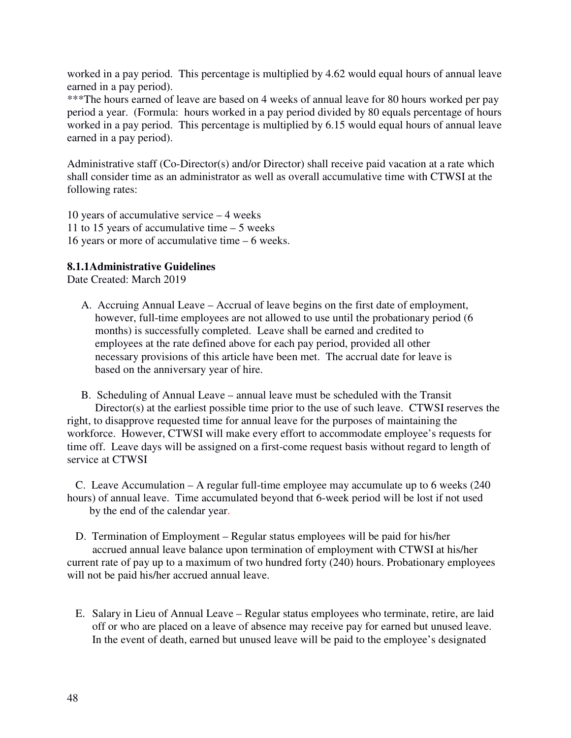worked in a pay period. This percentage is multiplied by 4.62 would equal hours of annual leave earned in a pay period).

\*\*\*The hours earned of leave are based on 4 weeks of annual leave for 80 hours worked per pay period a year. (Formula: hours worked in a pay period divided by 80 equals percentage of hours worked in a pay period. This percentage is multiplied by 6.15 would equal hours of annual leave earned in a pay period).

Administrative staff (Co-Director(s) and/or Director) shall receive paid vacation at a rate which shall consider time as an administrator as well as overall accumulative time with CTWSI at the following rates:

10 years of accumulative service – 4 weeks 11 to 15 years of accumulative time – 5 weeks 16 years or more of accumulative time – 6 weeks.

# **8.1.1Administrative Guidelines**

Date Created: March 2019

 A. Accruing Annual Leave – Accrual of leave begins on the first date of employment, however, full-time employees are not allowed to use until the probationary period (6 months) is successfully completed. Leave shall be earned and credited to employees at the rate defined above for each pay period, provided all other necessary provisions of this article have been met. The accrual date for leave is based on the anniversary year of hire.

 B. Scheduling of Annual Leave – annual leave must be scheduled with the Transit Director(s) at the earliest possible time prior to the use of such leave. CTWSI reserves the right, to disapprove requested time for annual leave for the purposes of maintaining the workforce. However, CTWSI will make every effort to accommodate employee's requests for time off. Leave days will be assigned on a first-come request basis without regard to length of service at CTWSI

 C. Leave Accumulation – A regular full-time employee may accumulate up to 6 weeks (240 hours) of annual leave. Time accumulated beyond that 6-week period will be lost if not used by the end of the calendar year.

 D. Termination of Employment – Regular status employees will be paid for his/her accrued annual leave balance upon termination of employment with CTWSI at his/her current rate of pay up to a maximum of two hundred forty (240) hours. Probationary employees will not be paid his/her accrued annual leave.

E. Salary in Lieu of Annual Leave – Regular status employees who terminate, retire, are laid off or who are placed on a leave of absence may receive pay for earned but unused leave. In the event of death, earned but unused leave will be paid to the employee's designated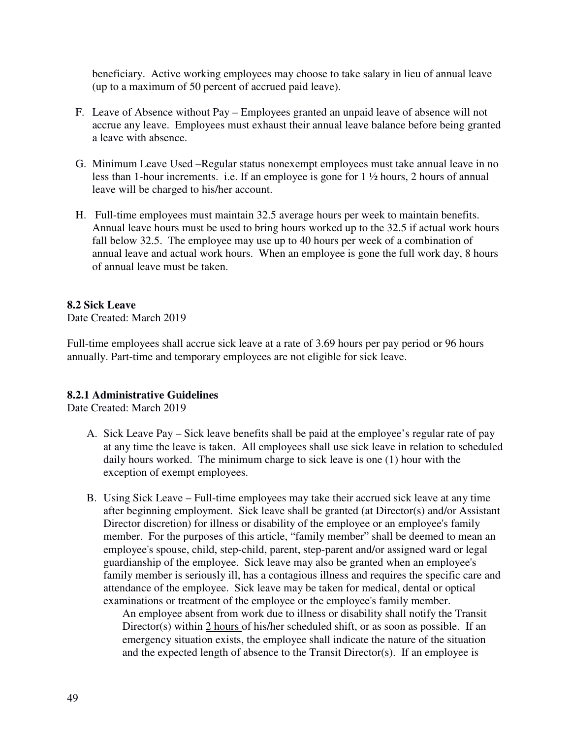beneficiary. Active working employees may choose to take salary in lieu of annual leave (up to a maximum of 50 percent of accrued paid leave).

- F. Leave of Absence without Pay Employees granted an unpaid leave of absence will not accrue any leave. Employees must exhaust their annual leave balance before being granted a leave with absence.
- G. Minimum Leave Used –Regular status nonexempt employees must take annual leave in no less than 1-hour increments. i.e. If an employee is gone for 1 ½ hours, 2 hours of annual leave will be charged to his/her account.
- H. Full-time employees must maintain 32.5 average hours per week to maintain benefits. Annual leave hours must be used to bring hours worked up to the 32.5 if actual work hours fall below 32.5. The employee may use up to 40 hours per week of a combination of annual leave and actual work hours. When an employee is gone the full work day, 8 hours of annual leave must be taken.

# **8.2 Sick Leave**

Date Created: March 2019

Full-time employees shall accrue sick leave at a rate of 3.69 hours per pay period or 96 hours annually. Part-time and temporary employees are not eligible for sick leave.

# **8.2.1 Administrative Guidelines**

Date Created: March 2019

- A. Sick Leave Pay Sick leave benefits shall be paid at the employee's regular rate of pay at any time the leave is taken. All employees shall use sick leave in relation to scheduled daily hours worked. The minimum charge to sick leave is one (1) hour with the exception of exempt employees.
- B. Using Sick Leave Full-time employees may take their accrued sick leave at any time after beginning employment. Sick leave shall be granted (at Director(s) and/or Assistant Director discretion) for illness or disability of the employee or an employee's family member. For the purposes of this article, "family member" shall be deemed to mean an employee's spouse, child, step-child, parent, step-parent and/or assigned ward or legal guardianship of the employee. Sick leave may also be granted when an employee's family member is seriously ill, has a contagious illness and requires the specific care and attendance of the employee. Sick leave may be taken for medical, dental or optical examinations or treatment of the employee or the employee's family member.

An employee absent from work due to illness or disability shall notify the Transit Director(s) within 2 hours of his/her scheduled shift, or as soon as possible. If an emergency situation exists, the employee shall indicate the nature of the situation and the expected length of absence to the Transit Director(s). If an employee is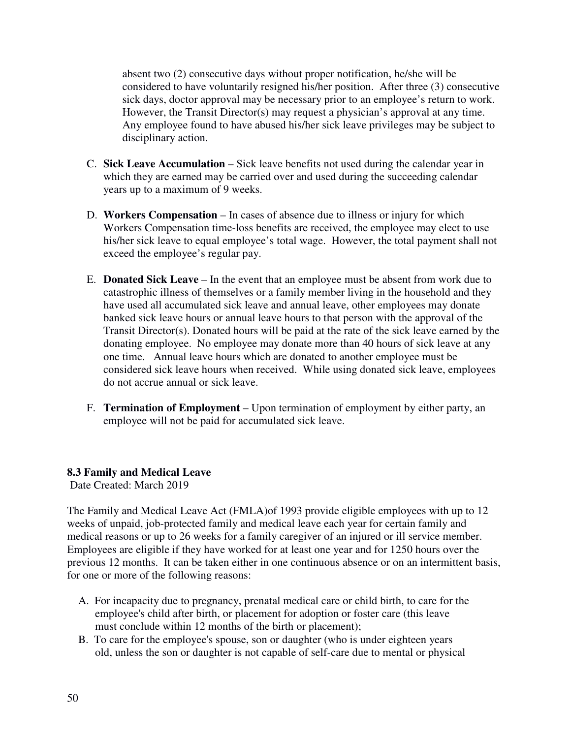absent two (2) consecutive days without proper notification, he/she will be considered to have voluntarily resigned his/her position. After three (3) consecutive sick days, doctor approval may be necessary prior to an employee's return to work. However, the Transit Director(s) may request a physician's approval at any time. Any employee found to have abused his/her sick leave privileges may be subject to disciplinary action.

- C. **Sick Leave Accumulation** Sick leave benefits not used during the calendar year in which they are earned may be carried over and used during the succeeding calendar years up to a maximum of 9 weeks.
- D. **Workers Compensation** In cases of absence due to illness or injury for which Workers Compensation time-loss benefits are received, the employee may elect to use his/her sick leave to equal employee's total wage. However, the total payment shall not exceed the employee's regular pay.
- E. **Donated Sick Leave** In the event that an employee must be absent from work due to catastrophic illness of themselves or a family member living in the household and they have used all accumulated sick leave and annual leave, other employees may donate banked sick leave hours or annual leave hours to that person with the approval of the Transit Director(s). Donated hours will be paid at the rate of the sick leave earned by the donating employee. No employee may donate more than 40 hours of sick leave at any one time. Annual leave hours which are donated to another employee must be considered sick leave hours when received. While using donated sick leave, employees do not accrue annual or sick leave.
- F. **Termination of Employment** Upon termination of employment by either party, an employee will not be paid for accumulated sick leave.

# **8.3 Family and Medical Leave**

Date Created: March 2019

The Family and Medical Leave Act (FMLA)of 1993 provide eligible employees with up to 12 weeks of unpaid, job-protected family and medical leave each year for certain family and medical reasons or up to 26 weeks for a family caregiver of an injured or ill service member. Employees are eligible if they have worked for at least one year and for 1250 hours over the previous 12 months. It can be taken either in one continuous absence or on an intermittent basis, for one or more of the following reasons:

- A. For incapacity due to pregnancy, prenatal medical care or child birth, to care for the employee's child after birth, or placement for adoption or foster care (this leave must conclude within 12 months of the birth or placement);
- B. To care for the employee's spouse, son or daughter (who is under eighteen years old, unless the son or daughter is not capable of self-care due to mental or physical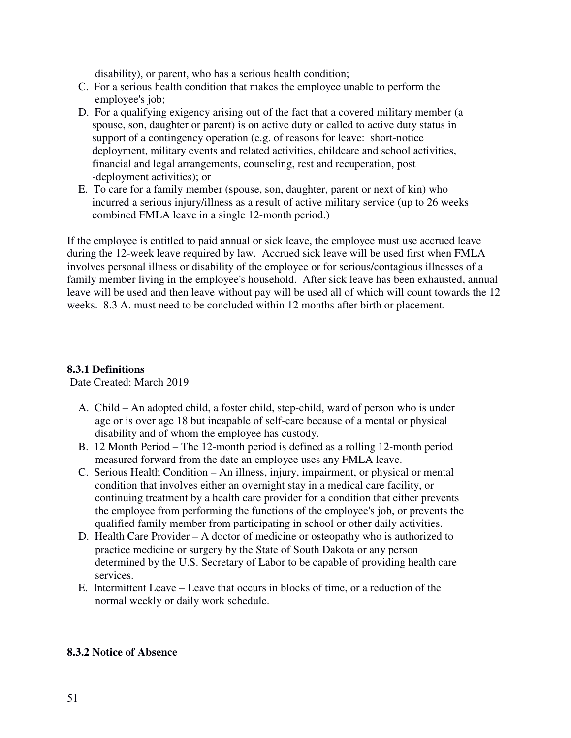disability), or parent, who has a serious health condition;

- C. For a serious health condition that makes the employee unable to perform the employee's job;
- D. For a qualifying exigency arising out of the fact that a covered military member (a spouse, son, daughter or parent) is on active duty or called to active duty status in support of a contingency operation (e.g. of reasons for leave: short-notice deployment, military events and related activities, childcare and school activities, financial and legal arrangements, counseling, rest and recuperation, post -deployment activities); or
- E. To care for a family member (spouse, son, daughter, parent or next of kin) who incurred a serious injury/illness as a result of active military service (up to 26 weeks combined FMLA leave in a single 12-month period.)

If the employee is entitled to paid annual or sick leave, the employee must use accrued leave during the 12-week leave required by law. Accrued sick leave will be used first when FMLA involves personal illness or disability of the employee or for serious/contagious illnesses of a family member living in the employee's household. After sick leave has been exhausted, annual leave will be used and then leave without pay will be used all of which will count towards the 12 weeks. 8.3 A. must need to be concluded within 12 months after birth or placement.

# **8.3.1 Definitions**

Date Created: March 2019

- A. Child An adopted child, a foster child, step-child, ward of person who is under age or is over age 18 but incapable of self-care because of a mental or physical disability and of whom the employee has custody.
- B. 12 Month Period The 12-month period is defined as a rolling 12-month period measured forward from the date an employee uses any FMLA leave.
- C. Serious Health Condition An illness, injury, impairment, or physical or mental condition that involves either an overnight stay in a medical care facility, or continuing treatment by a health care provider for a condition that either prevents the employee from performing the functions of the employee's job, or prevents the qualified family member from participating in school or other daily activities.
- D. Health Care Provider A doctor of medicine or osteopathy who is authorized to practice medicine or surgery by the State of South Dakota or any person determined by the U.S. Secretary of Labor to be capable of providing health care services.
- E. Intermittent Leave Leave that occurs in blocks of time, or a reduction of the normal weekly or daily work schedule.

#### **8.3.2 Notice of Absence**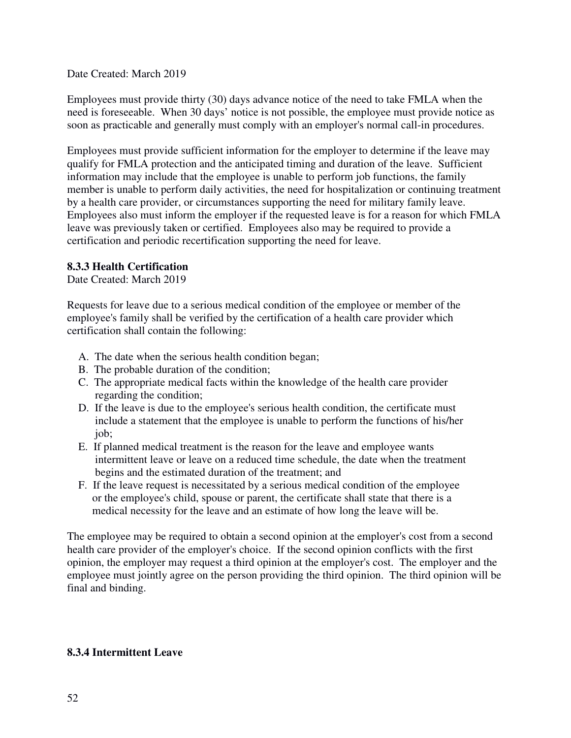Date Created: March 2019

Employees must provide thirty (30) days advance notice of the need to take FMLA when the need is foreseeable. When 30 days' notice is not possible, the employee must provide notice as soon as practicable and generally must comply with an employer's normal call-in procedures.

Employees must provide sufficient information for the employer to determine if the leave may qualify for FMLA protection and the anticipated timing and duration of the leave. Sufficient information may include that the employee is unable to perform job functions, the family member is unable to perform daily activities, the need for hospitalization or continuing treatment by a health care provider, or circumstances supporting the need for military family leave. Employees also must inform the employer if the requested leave is for a reason for which FMLA leave was previously taken or certified. Employees also may be required to provide a certification and periodic recertification supporting the need for leave.

# **8.3.3 Health Certification**

Date Created: March 2019

Requests for leave due to a serious medical condition of the employee or member of the employee's family shall be verified by the certification of a health care provider which certification shall contain the following:

- A. The date when the serious health condition began;
- B. The probable duration of the condition;
- C. The appropriate medical facts within the knowledge of the health care provider regarding the condition;
- D. If the leave is due to the employee's serious health condition, the certificate must include a statement that the employee is unable to perform the functions of his/her job;
- E. If planned medical treatment is the reason for the leave and employee wants intermittent leave or leave on a reduced time schedule, the date when the treatment begins and the estimated duration of the treatment; and
- F. If the leave request is necessitated by a serious medical condition of the employee or the employee's child, spouse or parent, the certificate shall state that there is a medical necessity for the leave and an estimate of how long the leave will be.

The employee may be required to obtain a second opinion at the employer's cost from a second health care provider of the employer's choice. If the second opinion conflicts with the first opinion, the employer may request a third opinion at the employer's cost. The employer and the employee must jointly agree on the person providing the third opinion. The third opinion will be final and binding.

# **8.3.4 Intermittent Leave**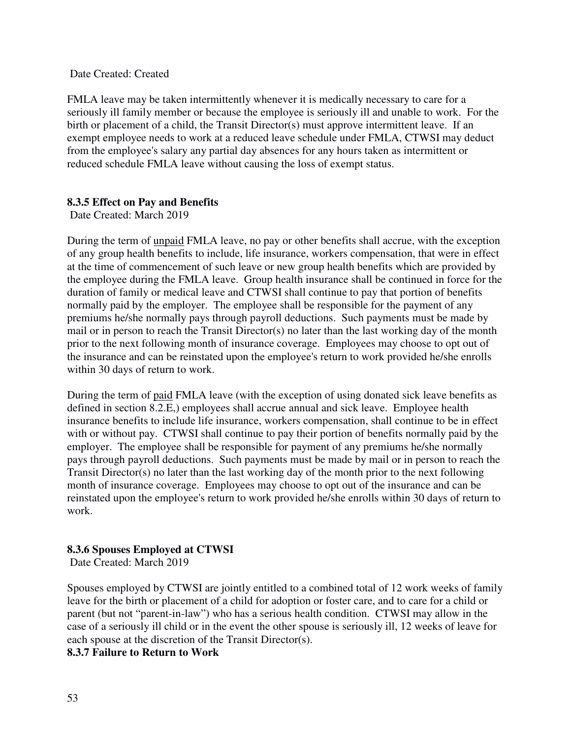#### Date Created: Created

FMLA leave may be taken intermittently whenever it is medically necessary to care for a seriously ill family member or because the employee is seriously ill and unable to work. For the birth or placement of a child, the Transit Director(s) must approve intermittent leave. If an exempt employee needs to work at a reduced leave schedule under FMLA, CTWSI may deduct from the employee's salary any partial day absences for any hours taken as intermittent or reduced schedule FMLA leave without causing the loss of exempt status.

# **8.3.5 Effect on Pay and Benefits**

Date Created: March 2019

During the term of unpaid FMLA leave, no pay or other benefits shall accrue, with the exception of any group health benefits to include, life insurance, workers compensation, that were in effect at the time of commencement of such leave or new group health benefits which are provided by the employee during the FMLA leave. Group health insurance shall be continued in force for the duration of family or medical leave and CTWSI shall continue to pay that portion of benefits normally paid by the employer. The employee shall be responsible for the payment of any premiums he/she normally pays through payroll deductions. Such payments must be made by mail or in person to reach the Transit Director(s) no later than the last working day of the month prior to the next following month of insurance coverage. Employees may choose to opt out of the insurance and can be reinstated upon the employee's return to work provided he/she enrolls within 30 days of return to work.

During the term of paid FMLA leave (with the exception of using donated sick leave benefits as defined in section 8.2.E,) employees shall accrue annual and sick leave. Employee health insurance benefits to include life insurance, workers compensation, shall continue to be in effect with or without pay. CTWSI shall continue to pay their portion of benefits normally paid by the employer. The employee shall be responsible for payment of any premiums he/she normally pays through payroll deductions. Such payments must be made by mail or in person to reach the Transit Director(s) no later than the last working day of the month prior to the next following month of insurance coverage. Employees may choose to opt out of the insurance and can be reinstated upon the employee's return to work provided he/she enrolls within 30 days of return to work.

# **8.3.6 Spouses Employed at CTWSI**

Date Created: March 2019

Spouses employed by CTWSI are jointly entitled to a combined total of 12 work weeks of family leave for the birth or placement of a child for adoption or foster care, and to care for a child or parent (but not "parent-in-law") who has a serious health condition. CTWSI may allow in the case of a seriously ill child or in the event the other spouse is seriously ill, 12 weeks of leave for each spouse at the discretion of the Transit Director(s).

#### **8.3.7 Failure to Return to Work**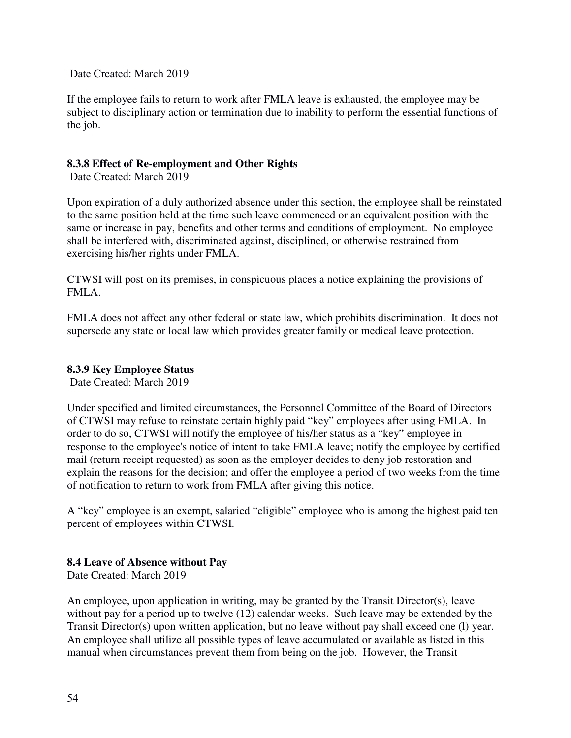Date Created: March 2019

If the employee fails to return to work after FMLA leave is exhausted, the employee may be subject to disciplinary action or termination due to inability to perform the essential functions of the job.

# **8.3.8 Effect of Re-employment and Other Rights**

Date Created: March 2019

Upon expiration of a duly authorized absence under this section, the employee shall be reinstated to the same position held at the time such leave commenced or an equivalent position with the same or increase in pay, benefits and other terms and conditions of employment. No employee shall be interfered with, discriminated against, disciplined, or otherwise restrained from exercising his/her rights under FMLA.

CTWSI will post on its premises, in conspicuous places a notice explaining the provisions of FMLA.

FMLA does not affect any other federal or state law, which prohibits discrimination. It does not supersede any state or local law which provides greater family or medical leave protection.

# **8.3.9 Key Employee Status**

Date Created: March 2019

Under specified and limited circumstances, the Personnel Committee of the Board of Directors of CTWSI may refuse to reinstate certain highly paid "key" employees after using FMLA. In order to do so, CTWSI will notify the employee of his/her status as a "key" employee in response to the employee's notice of intent to take FMLA leave; notify the employee by certified mail (return receipt requested) as soon as the employer decides to deny job restoration and explain the reasons for the decision; and offer the employee a period of two weeks from the time of notification to return to work from FMLA after giving this notice.

A "key" employee is an exempt, salaried "eligible" employee who is among the highest paid ten percent of employees within CTWSI.

# **8.4 Leave of Absence without Pay**

Date Created: March 2019

An employee, upon application in writing, may be granted by the Transit Director(s), leave without pay for a period up to twelve (12) calendar weeks. Such leave may be extended by the Transit Director(s) upon written application, but no leave without pay shall exceed one (l) year. An employee shall utilize all possible types of leave accumulated or available as listed in this manual when circumstances prevent them from being on the job. However, the Transit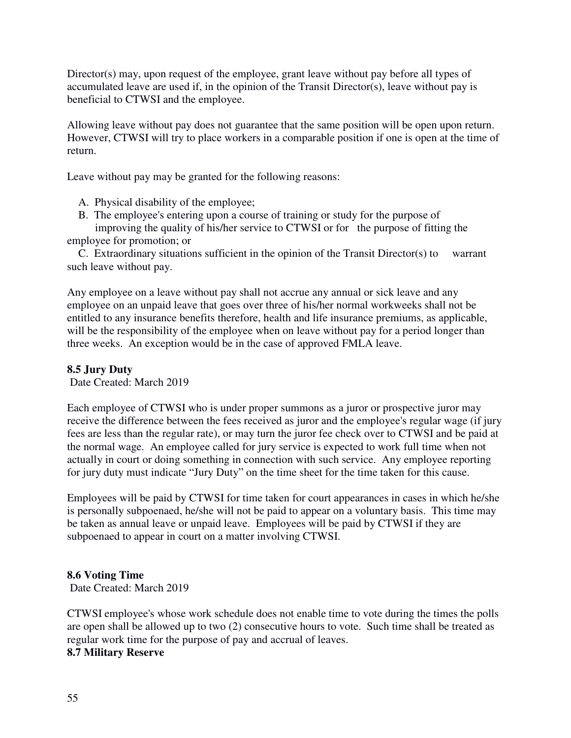Director(s) may, upon request of the employee, grant leave without pay before all types of accumulated leave are used if, in the opinion of the Transit Director(s), leave without pay is beneficial to CTWSI and the employee.

Allowing leave without pay does not guarantee that the same position will be open upon return. However, CTWSI will try to place workers in a comparable position if one is open at the time of return.

Leave without pay may be granted for the following reasons:

A. Physical disability of the employee;

 B. The employee's entering upon a course of training or study for the purpose of improving the quality of his/her service to CTWSI or for the purpose of fitting the

employee for promotion; or

 C. Extraordinary situations sufficient in the opinion of the Transit Director(s) to warrant such leave without pay.

Any employee on a leave without pay shall not accrue any annual or sick leave and any employee on an unpaid leave that goes over three of his/her normal workweeks shall not be entitled to any insurance benefits therefore, health and life insurance premiums, as applicable, will be the responsibility of the employee when on leave without pay for a period longer than three weeks. An exception would be in the case of approved FMLA leave.

#### **8.5 Jury Duty**

Date Created: March 2019

Each employee of CTWSI who is under proper summons as a juror or prospective juror may receive the difference between the fees received as juror and the employee's regular wage (if jury fees are less than the regular rate), or may turn the juror fee check over to CTWSI and be paid at the normal wage. An employee called for jury service is expected to work full time when not actually in court or doing something in connection with such service. Any employee reporting for jury duty must indicate "Jury Duty" on the time sheet for the time taken for this cause.

Employees will be paid by CTWSI for time taken for court appearances in cases in which he/she is personally subpoenaed, he/she will not be paid to appear on a voluntary basis. This time may be taken as annual leave or unpaid leave. Employees will be paid by CTWSI if they are subpoenaed to appear in court on a matter involving CTWSI.

#### **8.6 Voting Time**

Date Created: March 2019

CTWSI employee's whose work schedule does not enable time to vote during the times the polls are open shall be allowed up to two (2) consecutive hours to vote. Such time shall be treated as regular work time for the purpose of pay and accrual of leaves.

#### **8.7 Military Reserve**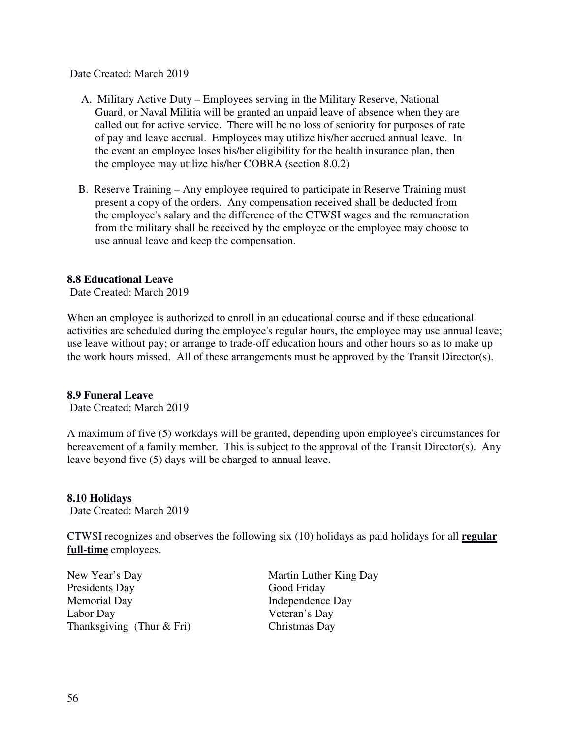Date Created: March 2019

- A. Military Active Duty Employees serving in the Military Reserve, National Guard, or Naval Militia will be granted an unpaid leave of absence when they are called out for active service. There will be no loss of seniority for purposes of rate of pay and leave accrual. Employees may utilize his/her accrued annual leave. In the event an employee loses his/her eligibility for the health insurance plan, then the employee may utilize his/her COBRA (section 8.0.2)
- B. Reserve Training Any employee required to participate in Reserve Training must present a copy of the orders. Any compensation received shall be deducted from the employee's salary and the difference of the CTWSI wages and the remuneration from the military shall be received by the employee or the employee may choose to use annual leave and keep the compensation.

#### **8.8 Educational Leave**

Date Created: March 2019

When an employee is authorized to enroll in an educational course and if these educational activities are scheduled during the employee's regular hours, the employee may use annual leave; use leave without pay; or arrange to trade-off education hours and other hours so as to make up the work hours missed. All of these arrangements must be approved by the Transit Director(s).

#### **8.9 Funeral Leave**

Date Created: March 2019

A maximum of five (5) workdays will be granted, depending upon employee's circumstances for bereavement of a family member. This is subject to the approval of the Transit Director(s). Any leave beyond five (5) days will be charged to annual leave.

#### **8.10 Holidays**

Date Created: March 2019

CTWSI recognizes and observes the following six (10) holidays as paid holidays for all **regular full-time** employees.

New Year's Day Martin Luther King Day Presidents Day Good Friday Memorial Day **Independence Day** Labor Day Veteran's Day Thanksgiving (Thur & Fri) Christmas Day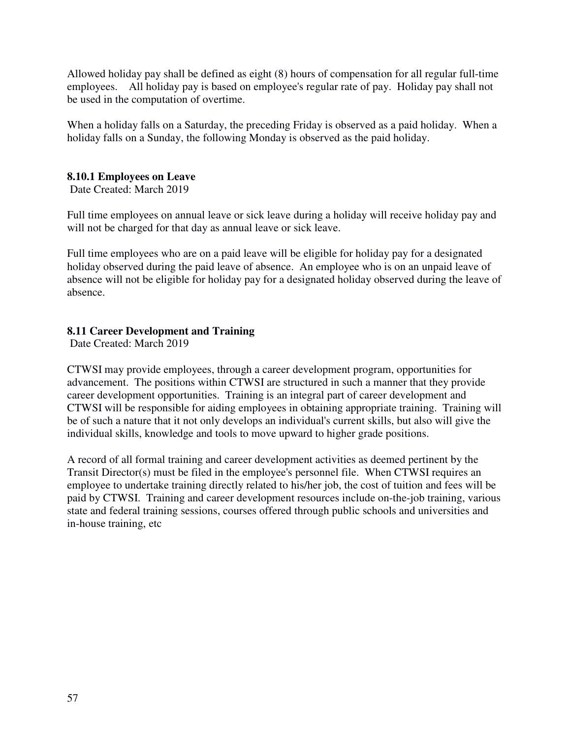Allowed holiday pay shall be defined as eight (8) hours of compensation for all regular full-time employees. All holiday pay is based on employee's regular rate of pay. Holiday pay shall not be used in the computation of overtime.

When a holiday falls on a Saturday, the preceding Friday is observed as a paid holiday. When a holiday falls on a Sunday, the following Monday is observed as the paid holiday.

# **8.10.1 Employees on Leave**

Date Created: March 2019

Full time employees on annual leave or sick leave during a holiday will receive holiday pay and will not be charged for that day as annual leave or sick leave.

Full time employees who are on a paid leave will be eligible for holiday pay for a designated holiday observed during the paid leave of absence. An employee who is on an unpaid leave of absence will not be eligible for holiday pay for a designated holiday observed during the leave of absence.

# **8.11 Career Development and Training**

Date Created: March 2019

CTWSI may provide employees, through a career development program, opportunities for advancement. The positions within CTWSI are structured in such a manner that they provide career development opportunities. Training is an integral part of career development and CTWSI will be responsible for aiding employees in obtaining appropriate training. Training will be of such a nature that it not only develops an individual's current skills, but also will give the individual skills, knowledge and tools to move upward to higher grade positions.

A record of all formal training and career development activities as deemed pertinent by the Transit Director(s) must be filed in the employee's personnel file. When CTWSI requires an employee to undertake training directly related to his/her job, the cost of tuition and fees will be paid by CTWSI. Training and career development resources include on-the-job training, various state and federal training sessions, courses offered through public schools and universities and in-house training, etc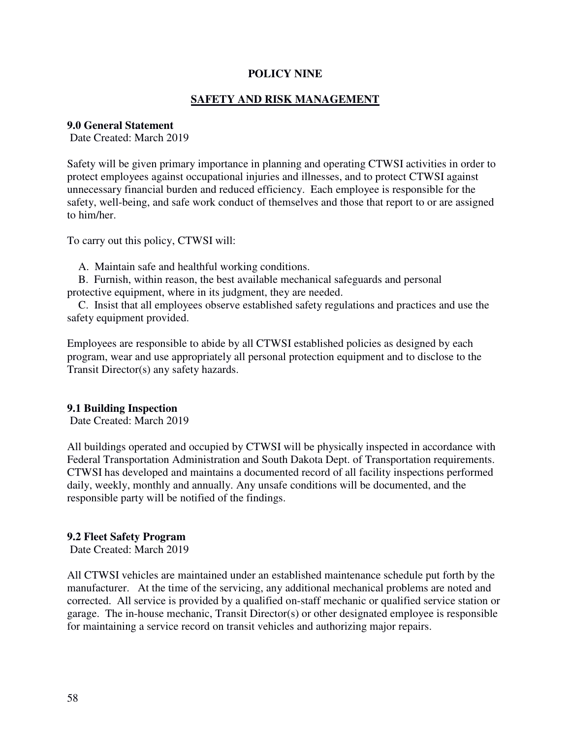# **POLICY NINE**

# **SAFETY AND RISK MANAGEMENT**

#### **9.0 General Statement**

Date Created: March 2019

Safety will be given primary importance in planning and operating CTWSI activities in order to protect employees against occupational injuries and illnesses, and to protect CTWSI against unnecessary financial burden and reduced efficiency. Each employee is responsible for the safety, well-being, and safe work conduct of themselves and those that report to or are assigned to him/her.

To carry out this policy, CTWSI will:

A. Maintain safe and healthful working conditions.

 B. Furnish, within reason, the best available mechanical safeguards and personal protective equipment, where in its judgment, they are needed.

 C. Insist that all employees observe established safety regulations and practices and use the safety equipment provided.

Employees are responsible to abide by all CTWSI established policies as designed by each program, wear and use appropriately all personal protection equipment and to disclose to the Transit Director(s) any safety hazards.

#### **9.1 Building Inspection**

Date Created: March 2019

All buildings operated and occupied by CTWSI will be physically inspected in accordance with Federal Transportation Administration and South Dakota Dept. of Transportation requirements. CTWSI has developed and maintains a documented record of all facility inspections performed daily, weekly, monthly and annually. Any unsafe conditions will be documented, and the responsible party will be notified of the findings.

#### **9.2 Fleet Safety Program**

Date Created: March 2019

All CTWSI vehicles are maintained under an established maintenance schedule put forth by the manufacturer. At the time of the servicing, any additional mechanical problems are noted and corrected. All service is provided by a qualified on-staff mechanic or qualified service station or garage. The in-house mechanic, Transit Director(s) or other designated employee is responsible for maintaining a service record on transit vehicles and authorizing major repairs.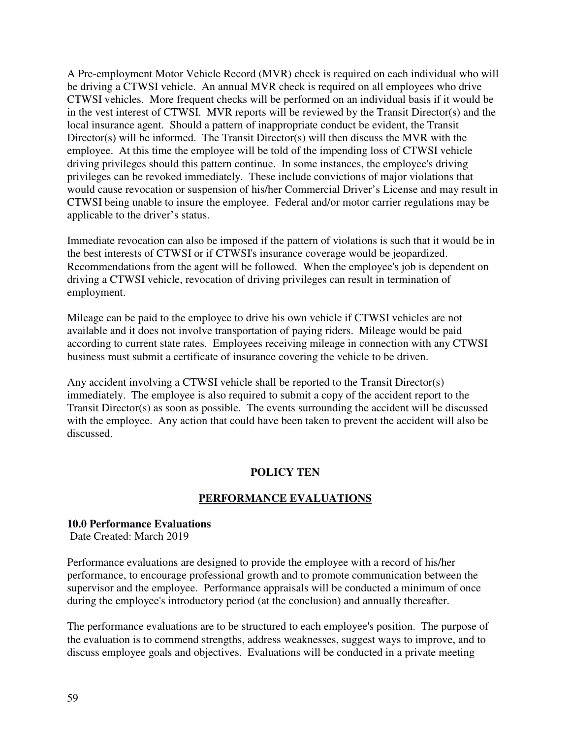A Pre-employment Motor Vehicle Record (MVR) check is required on each individual who will be driving a CTWSI vehicle. An annual MVR check is required on all employees who drive CTWSI vehicles. More frequent checks will be performed on an individual basis if it would be in the vest interest of CTWSI. MVR reports will be reviewed by the Transit Director(s) and the local insurance agent. Should a pattern of inappropriate conduct be evident, the Transit Director(s) will be informed. The Transit Director(s) will then discuss the MVR with the employee. At this time the employee will be told of the impending loss of CTWSI vehicle driving privileges should this pattern continue. In some instances, the employee's driving privileges can be revoked immediately. These include convictions of major violations that would cause revocation or suspension of his/her Commercial Driver's License and may result in CTWSI being unable to insure the employee. Federal and/or motor carrier regulations may be applicable to the driver's status.

Immediate revocation can also be imposed if the pattern of violations is such that it would be in the best interests of CTWSI or if CTWSI's insurance coverage would be jeopardized. Recommendations from the agent will be followed. When the employee's job is dependent on driving a CTWSI vehicle, revocation of driving privileges can result in termination of employment.

Mileage can be paid to the employee to drive his own vehicle if CTWSI vehicles are not available and it does not involve transportation of paying riders. Mileage would be paid according to current state rates. Employees receiving mileage in connection with any CTWSI business must submit a certificate of insurance covering the vehicle to be driven.

Any accident involving a CTWSI vehicle shall be reported to the Transit Director(s) immediately. The employee is also required to submit a copy of the accident report to the Transit Director(s) as soon as possible. The events surrounding the accident will be discussed with the employee. Any action that could have been taken to prevent the accident will also be discussed.

# **POLICY TEN**

# **PERFORMANCE EVALUATIONS**

# **10.0 Performance Evaluations**

Date Created: March 2019

Performance evaluations are designed to provide the employee with a record of his/her performance, to encourage professional growth and to promote communication between the supervisor and the employee. Performance appraisals will be conducted a minimum of once during the employee's introductory period (at the conclusion) and annually thereafter.

The performance evaluations are to be structured to each employee's position. The purpose of the evaluation is to commend strengths, address weaknesses, suggest ways to improve, and to discuss employee goals and objectives. Evaluations will be conducted in a private meeting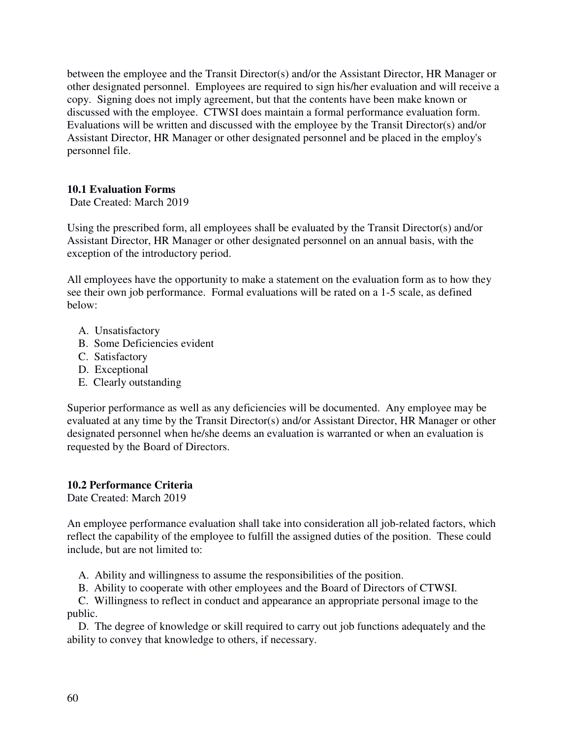between the employee and the Transit Director(s) and/or the Assistant Director, HR Manager or other designated personnel. Employees are required to sign his/her evaluation and will receive a copy. Signing does not imply agreement, but that the contents have been make known or discussed with the employee. CTWSI does maintain a formal performance evaluation form. Evaluations will be written and discussed with the employee by the Transit Director(s) and/or Assistant Director, HR Manager or other designated personnel and be placed in the employ's personnel file.

# **10.1 Evaluation Forms**

Date Created: March 2019

Using the prescribed form, all employees shall be evaluated by the Transit Director(s) and/or Assistant Director, HR Manager or other designated personnel on an annual basis, with the exception of the introductory period.

All employees have the opportunity to make a statement on the evaluation form as to how they see their own job performance. Formal evaluations will be rated on a 1-5 scale, as defined below:

- A. Unsatisfactory
- B. Some Deficiencies evident
- C. Satisfactory
- D. Exceptional
- E. Clearly outstanding

Superior performance as well as any deficiencies will be documented. Any employee may be evaluated at any time by the Transit Director(s) and/or Assistant Director, HR Manager or other designated personnel when he/she deems an evaluation is warranted or when an evaluation is requested by the Board of Directors.

#### **10.2 Performance Criteria**

Date Created: March 2019

An employee performance evaluation shall take into consideration all job-related factors, which reflect the capability of the employee to fulfill the assigned duties of the position. These could include, but are not limited to:

A. Ability and willingness to assume the responsibilities of the position.

B. Ability to cooperate with other employees and the Board of Directors of CTWSI.

 C. Willingness to reflect in conduct and appearance an appropriate personal image to the public.

 D. The degree of knowledge or skill required to carry out job functions adequately and the ability to convey that knowledge to others, if necessary.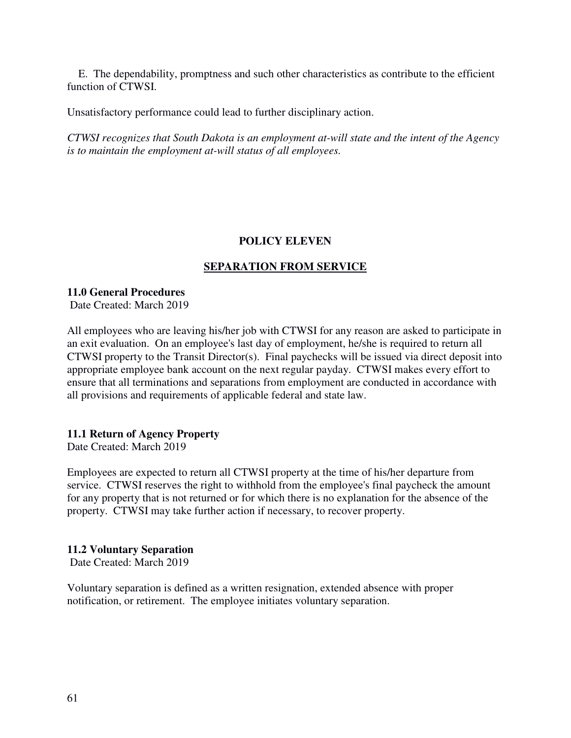E. The dependability, promptness and such other characteristics as contribute to the efficient function of CTWSI.

Unsatisfactory performance could lead to further disciplinary action.

*CTWSI recognizes that South Dakota is an employment at-will state and the intent of the Agency is to maintain the employment at-will status of all employees.* 

# **POLICY ELEVEN**

# **SEPARATION FROM SERVICE**

# **11.0 General Procedures**

Date Created: March 2019

All employees who are leaving his/her job with CTWSI for any reason are asked to participate in an exit evaluation. On an employee's last day of employment, he/she is required to return all CTWSI property to the Transit Director(s). Final paychecks will be issued via direct deposit into appropriate employee bank account on the next regular payday. CTWSI makes every effort to ensure that all terminations and separations from employment are conducted in accordance with all provisions and requirements of applicable federal and state law.

# **11.1 Return of Agency Property**

Date Created: March 2019

Employees are expected to return all CTWSI property at the time of his/her departure from service. CTWSI reserves the right to withhold from the employee's final paycheck the amount for any property that is not returned or for which there is no explanation for the absence of the property. CTWSI may take further action if necessary, to recover property.

#### **11.2 Voluntary Separation**

Date Created: March 2019

Voluntary separation is defined as a written resignation, extended absence with proper notification, or retirement. The employee initiates voluntary separation.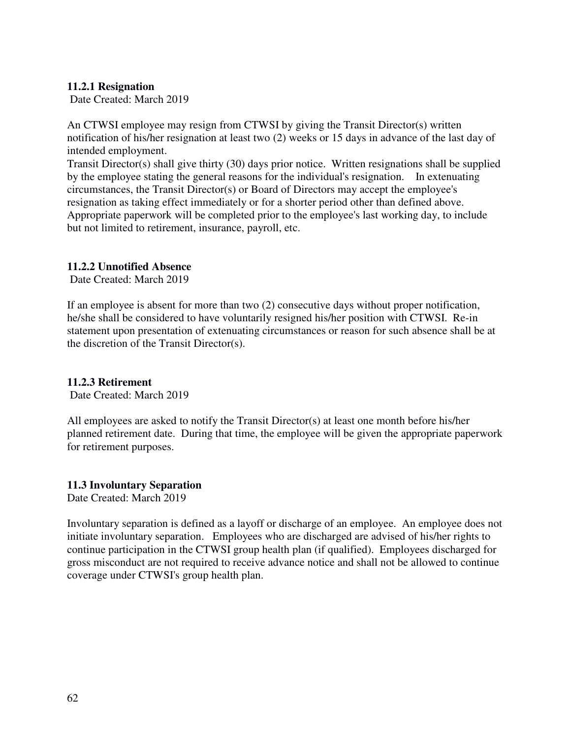#### **11.2.1 Resignation**

Date Created: March 2019

An CTWSI employee may resign from CTWSI by giving the Transit Director(s) written notification of his/her resignation at least two (2) weeks or 15 days in advance of the last day of intended employment.

Transit Director(s) shall give thirty (30) days prior notice. Written resignations shall be supplied by the employee stating the general reasons for the individual's resignation. In extenuating circumstances, the Transit Director(s) or Board of Directors may accept the employee's resignation as taking effect immediately or for a shorter period other than defined above. Appropriate paperwork will be completed prior to the employee's last working day, to include but not limited to retirement, insurance, payroll, etc.

#### **11.2.2 Unnotified Absence**

Date Created: March 2019

If an employee is absent for more than two (2) consecutive days without proper notification, he/she shall be considered to have voluntarily resigned his/her position with CTWSI. Re-in statement upon presentation of extenuating circumstances or reason for such absence shall be at the discretion of the Transit Director(s).

#### **11.2.3 Retirement**

Date Created: March 2019

All employees are asked to notify the Transit Director(s) at least one month before his/her planned retirement date. During that time, the employee will be given the appropriate paperwork for retirement purposes.

#### **11.3 Involuntary Separation**

Date Created: March 2019

Involuntary separation is defined as a layoff or discharge of an employee. An employee does not initiate involuntary separation. Employees who are discharged are advised of his/her rights to continue participation in the CTWSI group health plan (if qualified). Employees discharged for gross misconduct are not required to receive advance notice and shall not be allowed to continue coverage under CTWSI's group health plan.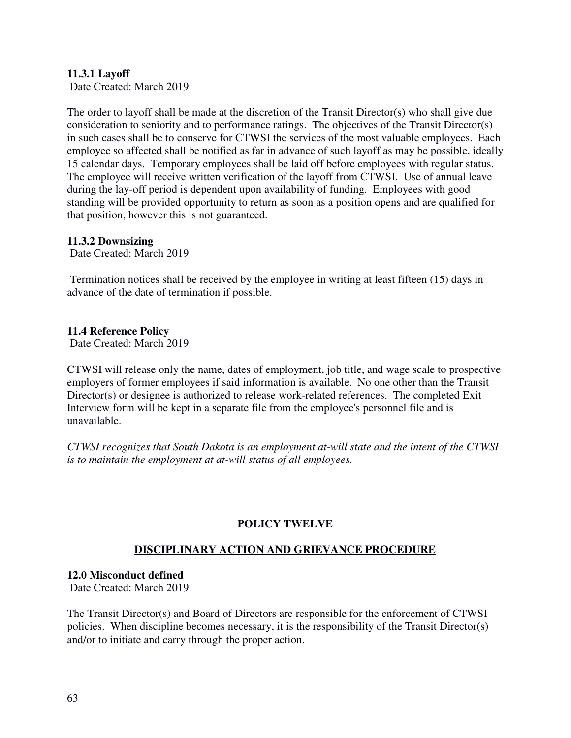# **11.3.1 Layoff**

Date Created: March 2019

The order to layoff shall be made at the discretion of the Transit Director(s) who shall give due consideration to seniority and to performance ratings. The objectives of the Transit Director(s) in such cases shall be to conserve for CTWSI the services of the most valuable employees. Each employee so affected shall be notified as far in advance of such layoff as may be possible, ideally 15 calendar days. Temporary employees shall be laid off before employees with regular status. The employee will receive written verification of the layoff from CTWSI. Use of annual leave during the lay-off period is dependent upon availability of funding. Employees with good standing will be provided opportunity to return as soon as a position opens and are qualified for that position, however this is not guaranteed.

#### **11.3.2 Downsizing**

Date Created: March 2019

 Termination notices shall be received by the employee in writing at least fifteen (15) days in advance of the date of termination if possible.

#### **11.4 Reference Policy**

Date Created: March 2019

CTWSI will release only the name, dates of employment, job title, and wage scale to prospective employers of former employees if said information is available. No one other than the Transit Director(s) or designee is authorized to release work-related references. The completed Exit Interview form will be kept in a separate file from the employee's personnel file and is unavailable.

*CTWSI recognizes that South Dakota is an employment at-will state and the intent of the CTWSI is to maintain the employment at at-will status of all employees.* 

#### **POLICY TWELVE**

#### **DISCIPLINARY ACTION AND GRIEVANCE PROCEDURE**

#### **12.0 Misconduct defined**

Date Created: March 2019

The Transit Director(s) and Board of Directors are responsible for the enforcement of CTWSI policies. When discipline becomes necessary, it is the responsibility of the Transit Director(s) and/or to initiate and carry through the proper action.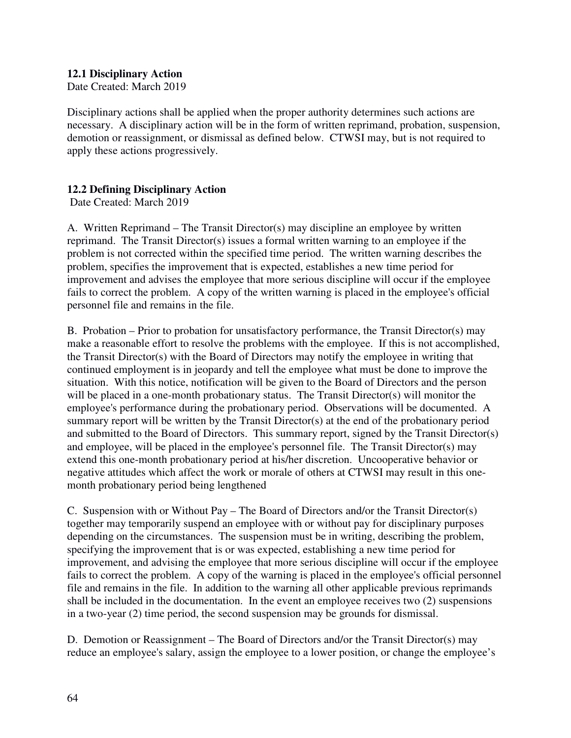# **12.1 Disciplinary Action**

Date Created: March 2019

Disciplinary actions shall be applied when the proper authority determines such actions are necessary. A disciplinary action will be in the form of written reprimand, probation, suspension, demotion or reassignment, or dismissal as defined below. CTWSI may, but is not required to apply these actions progressively.

# **12.2 Defining Disciplinary Action**

Date Created: March 2019

A. Written Reprimand – The Transit Director(s) may discipline an employee by written reprimand. The Transit Director(s) issues a formal written warning to an employee if the problem is not corrected within the specified time period. The written warning describes the problem, specifies the improvement that is expected, establishes a new time period for improvement and advises the employee that more serious discipline will occur if the employee fails to correct the problem. A copy of the written warning is placed in the employee's official personnel file and remains in the file.

B. Probation – Prior to probation for unsatisfactory performance, the Transit Director(s) may make a reasonable effort to resolve the problems with the employee. If this is not accomplished, the Transit Director(s) with the Board of Directors may notify the employee in writing that continued employment is in jeopardy and tell the employee what must be done to improve the situation. With this notice, notification will be given to the Board of Directors and the person will be placed in a one-month probationary status. The Transit Director(s) will monitor the employee's performance during the probationary period. Observations will be documented. A summary report will be written by the Transit Director(s) at the end of the probationary period and submitted to the Board of Directors. This summary report, signed by the Transit Director(s) and employee, will be placed in the employee's personnel file. The Transit Director(s) may extend this one-month probationary period at his/her discretion. Uncooperative behavior or negative attitudes which affect the work or morale of others at CTWSI may result in this onemonth probationary period being lengthened

C. Suspension with or Without Pay – The Board of Directors and/or the Transit Director(s) together may temporarily suspend an employee with or without pay for disciplinary purposes depending on the circumstances. The suspension must be in writing, describing the problem, specifying the improvement that is or was expected, establishing a new time period for improvement, and advising the employee that more serious discipline will occur if the employee fails to correct the problem. A copy of the warning is placed in the employee's official personnel file and remains in the file. In addition to the warning all other applicable previous reprimands shall be included in the documentation. In the event an employee receives two (2) suspensions in a two-year (2) time period, the second suspension may be grounds for dismissal.

D. Demotion or Reassignment – The Board of Directors and/or the Transit Director(s) may reduce an employee's salary, assign the employee to a lower position, or change the employee's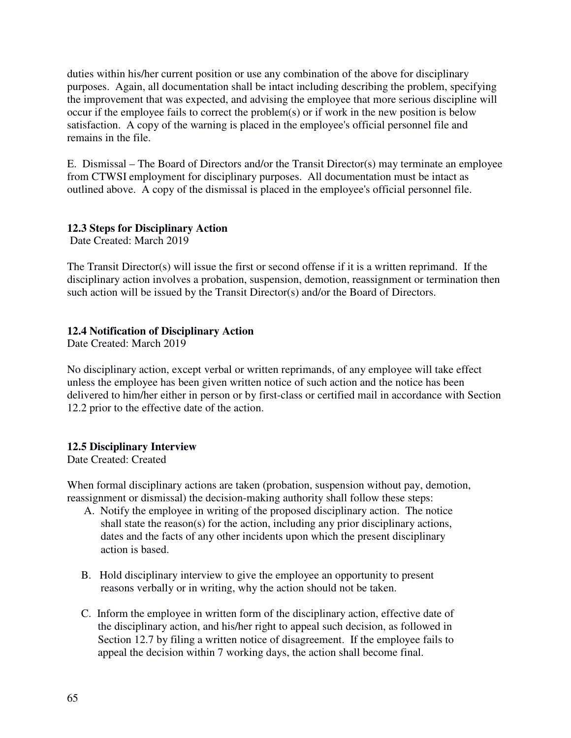duties within his/her current position or use any combination of the above for disciplinary purposes. Again, all documentation shall be intact including describing the problem, specifying the improvement that was expected, and advising the employee that more serious discipline will occur if the employee fails to correct the problem(s) or if work in the new position is below satisfaction. A copy of the warning is placed in the employee's official personnel file and remains in the file.

E. Dismissal – The Board of Directors and/or the Transit Director(s) may terminate an employee from CTWSI employment for disciplinary purposes. All documentation must be intact as outlined above. A copy of the dismissal is placed in the employee's official personnel file.

# **12.3 Steps for Disciplinary Action**

Date Created: March 2019

The Transit Director(s) will issue the first or second offense if it is a written reprimand. If the disciplinary action involves a probation, suspension, demotion, reassignment or termination then such action will be issued by the Transit Director(s) and/or the Board of Directors.

# **12.4 Notification of Disciplinary Action**

Date Created: March 2019

No disciplinary action, except verbal or written reprimands, of any employee will take effect unless the employee has been given written notice of such action and the notice has been delivered to him/her either in person or by first-class or certified mail in accordance with Section 12.2 prior to the effective date of the action.

#### **12.5 Disciplinary Interview**

Date Created: Created

When formal disciplinary actions are taken (probation, suspension without pay, demotion, reassignment or dismissal) the decision-making authority shall follow these steps:

- A. Notify the employee in writing of the proposed disciplinary action. The notice shall state the reason(s) for the action, including any prior disciplinary actions, dates and the facts of any other incidents upon which the present disciplinary action is based.
- B. Hold disciplinary interview to give the employee an opportunity to present reasons verbally or in writing, why the action should not be taken.
- C. Inform the employee in written form of the disciplinary action, effective date of the disciplinary action, and his/her right to appeal such decision, as followed in Section 12.7 by filing a written notice of disagreement. If the employee fails to appeal the decision within 7 working days, the action shall become final.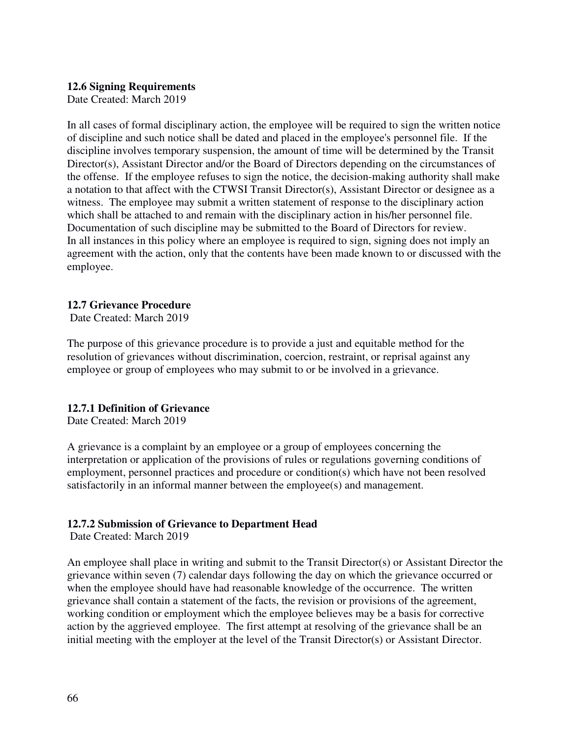#### **12.6 Signing Requirements**

Date Created: March 2019

In all cases of formal disciplinary action, the employee will be required to sign the written notice of discipline and such notice shall be dated and placed in the employee's personnel file. If the discipline involves temporary suspension, the amount of time will be determined by the Transit Director(s), Assistant Director and/or the Board of Directors depending on the circumstances of the offense. If the employee refuses to sign the notice, the decision-making authority shall make a notation to that affect with the CTWSI Transit Director(s), Assistant Director or designee as a witness. The employee may submit a written statement of response to the disciplinary action which shall be attached to and remain with the disciplinary action in his/her personnel file. Documentation of such discipline may be submitted to the Board of Directors for review. In all instances in this policy where an employee is required to sign, signing does not imply an agreement with the action, only that the contents have been made known to or discussed with the employee.

# **12.7 Grievance Procedure**

Date Created: March 2019

The purpose of this grievance procedure is to provide a just and equitable method for the resolution of grievances without discrimination, coercion, restraint, or reprisal against any employee or group of employees who may submit to or be involved in a grievance.

#### **12.7.1 Definition of Grievance**

Date Created: March 2019

A grievance is a complaint by an employee or a group of employees concerning the interpretation or application of the provisions of rules or regulations governing conditions of employment, personnel practices and procedure or condition(s) which have not been resolved satisfactorily in an informal manner between the employee(s) and management.

# **12.7.2 Submission of Grievance to Department Head**

Date Created: March 2019

An employee shall place in writing and submit to the Transit Director(s) or Assistant Director the grievance within seven (7) calendar days following the day on which the grievance occurred or when the employee should have had reasonable knowledge of the occurrence. The written grievance shall contain a statement of the facts, the revision or provisions of the agreement, working condition or employment which the employee believes may be a basis for corrective action by the aggrieved employee. The first attempt at resolving of the grievance shall be an initial meeting with the employer at the level of the Transit Director(s) or Assistant Director.